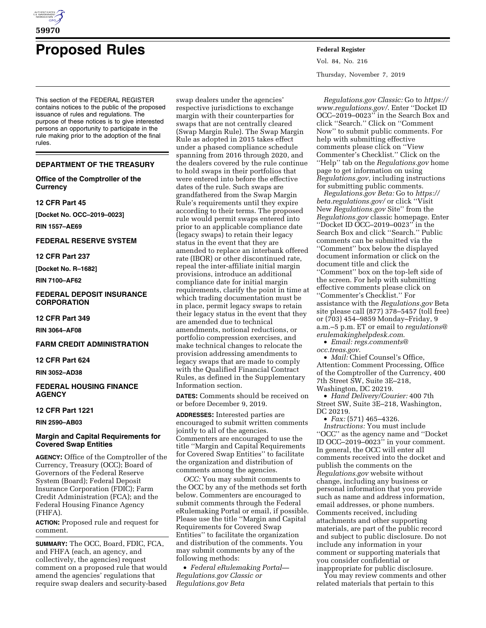

# **Proposed Rules Federal Register**

This section of the FEDERAL REGISTER contains notices to the public of the proposed issuance of rules and regulations. The purpose of these notices is to give interested persons an opportunity to participate in the rule making prior to the adoption of the final rules.

# **DEPARTMENT OF THE TREASURY**

# **Office of the Comptroller of the Currency**

#### **12 CFR Part 45**

**[Docket No. OCC–2019–0023]** 

**RIN 1557–AE69** 

# **FEDERAL RESERVE SYSTEM**

**12 CFR Part 237** 

**[Docket No. R–1682]** 

**RIN 7100–AF62** 

#### **FEDERAL DEPOSIT INSURANCE CORPORATION**

**12 CFR Part 349** 

**RIN 3064–AF08** 

# **FARM CREDIT ADMINISTRATION**

# **12 CFR Part 624**

**RIN 3052–AD38** 

# **FEDERAL HOUSING FINANCE AGENCY**

# **12 CFR Part 1221**

**RIN 2590–AB03** 

# **Margin and Capital Requirements for Covered Swap Entities**

**AGENCY:** Office of the Comptroller of the Currency, Treasury (OCC); Board of Governors of the Federal Reserve System (Board); Federal Deposit Insurance Corporation (FDIC); Farm Credit Administration (FCA); and the Federal Housing Finance Agency (FHFA).

**ACTION:** Proposed rule and request for comment.

**SUMMARY:** The OCC, Board, FDIC, FCA, and FHFA (each, an agency, and collectively, the agencies) request comment on a proposed rule that would amend the agencies' regulations that require swap dealers and security-based

swap dealers under the agencies' respective jurisdictions to exchange margin with their counterparties for swaps that are not centrally cleared (Swap Margin Rule). The Swap Margin Rule as adopted in 2015 takes effect under a phased compliance schedule spanning from 2016 through 2020, and the dealers covered by the rule continue to hold swaps in their portfolios that were entered into before the effective dates of the rule. Such swaps are grandfathered from the Swap Margin Rule's requirements until they expire according to their terms. The proposed rule would permit swaps entered into prior to an applicable compliance date (legacy swaps) to retain their legacy status in the event that they are amended to replace an interbank offered rate (IBOR) or other discontinued rate, repeal the inter-affiliate initial margin provisions, introduce an additional compliance date for initial margin requirements, clarify the point in time at which trading documentation must be in place, permit legacy swaps to retain their legacy status in the event that they are amended due to technical amendments, notional reductions, or portfolio compression exercises, and make technical changes to relocate the provision addressing amendments to legacy swaps that are made to comply with the Qualified Financial Contract Rules, as defined in the Supplementary Information section.

**DATES:** Comments should be received on or before December 9, 2019.

**ADDRESSES:** Interested parties are encouraged to submit written comments jointly to all of the agencies. Commenters are encouraged to use the title ''Margin and Capital Requirements for Covered Swap Entities'' to facilitate the organization and distribution of comments among the agencies.

*OCC:* You may submit comments to the OCC by any of the methods set forth below. Commenters are encouraged to submit comments through the Federal eRulemaking Portal or email, if possible. Please use the title ''Margin and Capital Requirements for Covered Swap Entities'' to facilitate the organization and distribution of the comments. You may submit comments by any of the following methods:

• *Federal eRulemaking Portal— Regulations.gov Classic or Regulations.gov Beta* 

Vol. 84, No. 216 Thursday, November 7, 2019

*Regulations.gov Classic:* Go to *[https://](https://www.regulations.gov/)  [www.regulations.gov/](https://www.regulations.gov/)*. Enter ''Docket ID OCC–2019–0023'' in the Search Box and click ''Search.'' Click on ''Comment Now'' to submit public comments. For help with submitting effective comments please click on ''View Commenter's Checklist.'' Click on the ''Help'' tab on the *Regulations.gov* home page to get information on using *Regulations.gov*, including instructions for submitting public comments.

*Regulations.gov Beta:* Go to *[https://](https://beta.regulations.gov/) [beta.regulations.gov/](https://beta.regulations.gov/)* or click ''Visit New *Regulations.gov* Site'' from the *Regulations.gov* classic homepage. Enter ''Docket ID OCC–2019–0023'' in the Search Box and click ''Search.'' Public comments can be submitted via the ''Comment'' box below the displayed document information or click on the document title and click the ''Comment'' box on the top-left side of the screen. For help with submitting effective comments please click on ''Commenter's Checklist.'' For assistance with the *Regulations.gov* Beta site please call (877) 378–5457 (toll free) or (703) 454–9859 Monday–Friday, 9 a.m.–5 p.m. ET or email to *[regulations@](mailto:regulations@erulemakinghelpdesk.com) [erulemakinghelpdesk.com](mailto:regulations@erulemakinghelpdesk.com)*.

• *Email: [regs.comments@](mailto:regs.comments@occ.treas.gov) [occ.treas.gov](mailto:regs.comments@occ.treas.gov)*.

• *Mail:* Chief Counsel's Office, Attention: Comment Processing, Office of the Comptroller of the Currency, 400 7th Street SW, Suite 3E–218,

Washington, DC 20219.

• *Hand Delivery/Courier:* 400 7th Street SW, Suite 3E–218, Washington, DC 20219.

• *Fax:* (571) 465–4326.

*Instructions:* You must include ''OCC'' as the agency name and ''Docket ID OCC–2019–0023'' in your comment. In general, the OCC will enter all comments received into the docket and publish the comments on the *Regulations.gov* website without change, including any business or personal information that you provide such as name and address information, email addresses, or phone numbers. Comments received, including attachments and other supporting materials, are part of the public record and subject to public disclosure. Do not include any information in your comment or supporting materials that you consider confidential or inappropriate for public disclosure.

You may review comments and other related materials that pertain to this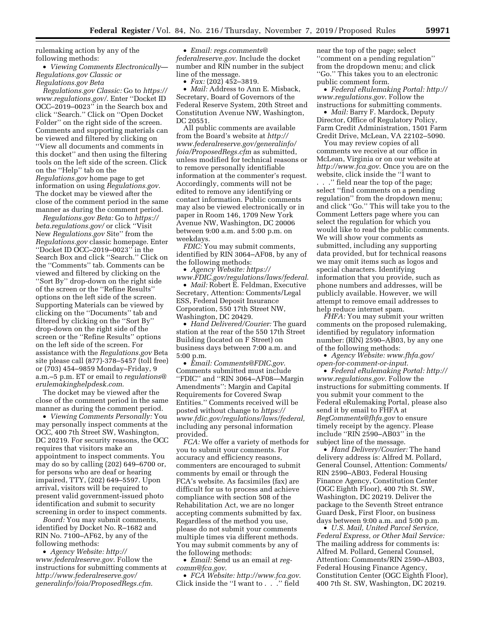rulemaking action by any of the following methods:

• *Viewing Comments Electronically— Regulations.gov Classic or Regulations.gov Beta* 

*Regulations.gov Classic:* Go to *[https://](https://www.regulations.gov/)  [www.regulations.gov/](https://www.regulations.gov/)*. Enter ''Docket ID OCC–2019–0023'' in the Search box and click ''Search.'' Click on ''Open Docket Folder'' on the right side of the screen. Comments and supporting materials can be viewed and filtered by clicking on ''View all documents and comments in this docket'' and then using the filtering tools on the left side of the screen. Click on the ''Help'' tab on the *Regulations.gov* home page to get information on using *Regulations.gov*. The docket may be viewed after the close of the comment period in the same manner as during the comment period.

*Regulations.gov Beta:* Go to *[https://](https://beta.regulations.gov/) [beta.regulations.gov/](https://beta.regulations.gov/)* or click ''Visit New *Regulations.gov* Site'' from the *Regulations.gov* classic homepage. Enter ''Docket ID OCC–2019–0023'' in the Search Box and click ''Search.'' Click on the ''Comments'' tab. Comments can be viewed and filtered by clicking on the ''Sort By'' drop-down on the right side of the screen or the ''Refine Results'' options on the left side of the screen. Supporting Materials can be viewed by clicking on the ''Documents'' tab and filtered by clicking on the ''Sort By'' drop-down on the right side of the screen or the ''Refine Results'' options on the left side of the screen. For assistance with the *Regulations.gov* Beta site please call (877)-378–5457 (toll free) or (703) 454–9859 Monday–Friday, 9 a.m.–5 p.m. ET or email to *[regulations@](mailto:regulations@erulemakinghelpdesk.com) [erulemakinghelpdesk.com](mailto:regulations@erulemakinghelpdesk.com)*.

The docket may be viewed after the close of the comment period in the same manner as during the comment period.

• *Viewing Comments Personally:* You may personally inspect comments at the OCC, 400 7th Street SW, Washington, DC 20219. For security reasons, the OCC requires that visitors make an appointment to inspect comments. You may do so by calling (202) 649–6700 or, for persons who are deaf or hearing impaired, TTY, (202) 649–5597. Upon arrival, visitors will be required to present valid government-issued photo identification and submit to security screening in order to inspect comments.

*Board:* You may submit comments, identified by Docket No. R–1682 and RIN No. 7100–AF62, by any of the following methods:

• *Agency Website: [http://](http://www.federalreserve.gov) [www.federalreserve.gov](http://www.federalreserve.gov)*. Follow the instructions for submitting comments at *[http://www.federalreserve.gov/](http://www.federalreserve.gov/generalinfo/foia/ProposedRegs.cfm)  [generalinfo/foia/ProposedRegs.cfm](http://www.federalreserve.gov/generalinfo/foia/ProposedRegs.cfm)*.

• *Email: [regs.comments@](mailto:regs.comments@federalreserve.gov) [federalreserve.gov](mailto:regs.comments@federalreserve.gov)*. Include the docket number and RIN number in the subject line of the message.

 $\bullet$  *Fax:* (202) 452–3819.

• *Mail:* Address to Ann E. Misback, Secretary, Board of Governors of the Federal Reserve System, 20th Street and Constitution Avenue NW, Washington, DC 20551.

All public comments are available from the Board's website at *[http://](http://www.federalreserve.gov/generalinfo/foia/ProposedRegs.cfm) [www.federalreserve.gov/generalinfo/](http://www.federalreserve.gov/generalinfo/foia/ProposedRegs.cfm) [foia/ProposedRegs.cfm](http://www.federalreserve.gov/generalinfo/foia/ProposedRegs.cfm)* as submitted, unless modified for technical reasons or to remove personally identifiable information at the commenter's request. Accordingly, comments will not be edited to remove any identifying or contact information. Public comments may also be viewed electronically or in paper in Room 146, 1709 New York Avenue NW, Washington, DC 20006 between 9:00 a.m. and 5:00 p.m. on weekdays.

*FDIC:* You may submit comments, identified by RIN 3064–AF08, by any of the following methods:

• *Agency Website: [https://](https://www.FDIC.gov/regulations/laws/federal) [www.FDIC.gov/regulations/laws/federal](https://www.FDIC.gov/regulations/laws/federal)*.

• *Mail:* Robert E. Feldman, Executive Secretary, Attention: Comments/Legal ESS, Federal Deposit Insurance Corporation, 550 17th Street NW, Washington, DC 20429.

• *Hand Delivered/Courier:* The guard station at the rear of the 550 17th Street Building (located on F Street) on business days between 7:00 a.m. and 5:00 p.m.

• *Email: [Comments@FDIC.gov](mailto:Comments@FDIC.gov)*. Comments submitted must include ''FDIC'' and ''RIN 3064–AF08—Margin Amendments'': Margin and Capital Requirements for Covered Swap Entities.'' Comments received will be posted without change to *[https://](https://www.fdic.gov/regulations/laws/federal) [www.fdic.gov/regulations/laws/federal,](https://www.fdic.gov/regulations/laws/federal)*  including any personal information provided.

*FCA:* We offer a variety of methods for you to submit your comments. For accuracy and efficiency reasons, commenters are encouraged to submit comments by email or through the FCA's website. As facsimiles (fax) are difficult for us to process and achieve compliance with section 508 of the Rehabilitation Act, we are no longer accepting comments submitted by fax. Regardless of the method you use, please do not submit your comments multiple times via different methods. You may submit comments by any of the following methods:

• *Email:* Send us an email at *[reg](mailto:reg-comm@fca.gov)[comm@fca.gov](mailto:reg-comm@fca.gov)*.

• *FCA Website:<http://www.fca.gov>*. Click inside the ''I want to . . .'' field

near the top of the page; select ''comment on a pending regulation'' from the dropdown menu; and click ''Go.'' This takes you to an electronic public comment form.

• *Federal eRulemaking Portal: [http://](http://www.regulations.gov)  [www.regulations.gov](http://www.regulations.gov)*. Follow the instructions for submitting comments.

• *Mail:* Barry F. Mardock, Deputy Director, Office of Regulatory Policy, Farm Credit Administration, 1501 Farm Credit Drive, McLean, VA 22102–5090.

You may review copies of all comments we receive at our office in McLean, Virginia or on our website at *<http://www.fca.gov>*. Once you are on the website, click inside the ''I want to

. . .'' field near the top of the page; select ''find comments on a pending regulation'' from the dropdown menu; and click ''Go.'' This will take you to the Comment Letters page where you can select the regulation for which you would like to read the public comments. We will show your comments as submitted, including any supporting data provided, but for technical reasons we may omit items such as logos and special characters. Identifying information that you provide, such as phone numbers and addresses, will be publicly available. However, we will attempt to remove email addresses to help reduce internet spam.

*FHFA:* You may submit your written comments on the proposed rulemaking, identified by regulatory information number: (RIN) 2590–AB03, by any one of the following methods:

• *Agency Website: [www.fhfa.gov/](http://www.fhfa.gov/open-for-comment-or-input) [open-for-comment-or-input](http://www.fhfa.gov/open-for-comment-or-input)*.

• *Federal eRulemaking Portal: [http://](http://www.regulations.gov)  [www.regulations.gov](http://www.regulations.gov)*. Follow the instructions for submitting comments. If you submit your comment to the Federal eRulemaking Portal, please also send it by email to FHFA at *[RegComments@fhfa.gov](mailto:RegComments@fhfa.gov)* to ensure timely receipt by the agency. Please include ''RIN 2590–AB03'' in the subject line of the message.

• *Hand Delivery/Courier:* The hand delivery address is: Alfred M. Pollard, General Counsel, Attention: Comments/ RIN 2590–AB03, Federal Housing Finance Agency, Constitution Center (OGC Eighth Floor), 400 7th St. SW, Washington, DC 20219. Deliver the package to the Seventh Street entrance Guard Desk, First Floor, on business days between 9:00 a.m. and 5:00 p.m.

• *U.S. Mail, United Parcel Service, Federal Express, or Other Mail Service:*  The mailing address for comments is: Alfred M. Pollard, General Counsel, Attention: Comments/RIN 2590–AB03, Federal Housing Finance Agency, Constitution Center (OGC Eighth Floor), 400 7th St. SW, Washington, DC 20219.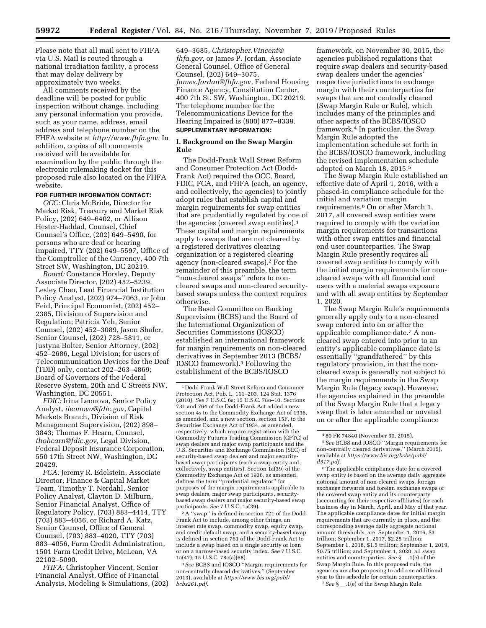Please note that all mail sent to FHFA via U.S. Mail is routed through a national irradiation facility, a process that may delay delivery by approximately two weeks.

All comments received by the deadline will be posted for public inspection without change, including any personal information you provide, such as your name, address, email address and telephone number on the FHFA website at *<http://www.fhfa.gov>*. In addition, copies of all comments received will be available for examination by the public through the electronic rulemaking docket for this proposed rule also located on the FHFA website.

# **FOR FURTHER INFORMATION CONTACT:**

*OCC:* Chris McBride, Director for Market Risk, Treasury and Market Risk Policy, (202) 649–6402, or Allison Hester-Haddad, Counsel, Chief Counsel's Office, (202) 649–5490, for persons who are deaf or hearing impaired, TTY (202) 649–5597, Office of the Comptroller of the Currency, 400 7th Street SW, Washington, DC 20219.

*Board:* Constance Horsley, Deputy Associate Director, (202) 452–5239, Lesley Chao, Lead Financial Institution Policy Analyst, (202) 974–7063, or John Feid, Principal Economist, (202) 452– 2385, Division of Supervision and Regulation; Patricia Yeh, Senior Counsel, (202) 452–3089, Jason Shafer, Senior Counsel, (202) 728–5811, or Justyna Bolter, Senior Attorney, (202) 452–2686, Legal Division; for users of Telecommunication Devices for the Deaf (TDD) only, contact 202–263–4869; Board of Governors of the Federal Reserve System, 20th and C Streets NW, Washington, DC 20551.

*FDIC:* Irina Leonova, Senior Policy Analyst, *[ileonova@fdic.gov,](mailto:ileonova@fdic.gov)* Capital Markets Branch, Division of Risk Management Supervision, (202) 898– 3843; Thomas F. Hearn, Counsel, *[thohearn@fdic.gov,](mailto:thohearn@fdic.gov)* Legal Division, Federal Deposit Insurance Corporation, 550 17th Street NW, Washington, DC 20429.

*FCA:* Jeremy R. Edelstein, Associate Director, Finance & Capital Market Team, Timothy T. Nerdahl, Senior Policy Analyst, Clayton D. Milburn, Senior Financial Analyst, Office of Regulatory Policy, (703) 883–4414, TTY (703) 883–4056, or Richard A. Katz, Senior Counsel, Office of General Counsel, (703) 883–4020, TTY (703) 883–4056, Farm Credit Administration, 1501 Farm Credit Drive, McLean, VA 22102–5090.

*FHFA:* Christopher Vincent, Senior Financial Analyst, Office of Financial Analysis, Modeling & Simulations, (202)

649–3685, *[Christopher.Vincent@](mailto:Christopher.Vincent@fhfa.gov) [fhfa.gov,](mailto:Christopher.Vincent@fhfa.gov)* or James P. Jordan, Associate General Counsel, Office of General Counsel, (202) 649–3075, *[James.Jordan@fhfa.gov,](mailto:James.Jordan@fhfa.gov)* Federal Housing Finance Agency, Constitution Center, 400 7th St. SW, Washington, DC 20219. The telephone number for the Telecommunications Device for the Hearing Impaired is (800) 877–8339. **SUPPLEMENTARY INFORMATION:** 

# **I. Background on the Swap Margin Rule**

The Dodd-Frank Wall Street Reform and Consumer Protection Act (Dodd-Frank Act) required the OCC, Board, FDIC, FCA, and FHFA (each, an agency, and collectively, the agencies) to jointly adopt rules that establish capital and margin requirements for swap entities that are prudentially regulated by one of the agencies (covered swap entities).1 These capital and margin requirements apply to swaps that are not cleared by a registered derivatives clearing organization or a registered clearing agency (non-cleared swaps).2 For the remainder of this preamble, the term ''non-cleared swaps'' refers to noncleared swaps and non-cleared securitybased swaps unless the context requires otherwise.

The Basel Committee on Banking Supervision (BCBS) and the Board of the International Organization of Securities Commissions (IOSCO) established an international framework for margin requirements on non-cleared derivatives in September 2013 (BCBS/ IOSCO framework).3 Following the establishment of the BCBS/IOSCO

2A ''swap'' is defined in section 721 of the Dodd-Frank Act to include, among other things, an interest rate swap, commodity swap, equity swap, and credit default swap, and a security-based swap is defined in section 761 of the Dodd-Frank Act to include a swap based on a single security or loan or on a narrow-based security index. *See* 7 U.S.C. 1a(47); 15 U.S.C. 78c(a)(68).

3*See* BCBS and IOSCO ''Margin requirements for non-centrally cleared derivatives,'' (September 2013), available at *[https://www.bis.org/publ/](https://www.bis.org/publ/bcbs261.pdf) [bcbs261.pdf](https://www.bis.org/publ/bcbs261.pdf)*.

framework, on November 30, 2015, the agencies published regulations that require swap dealers and security-based swap dealers under the agencies' respective jurisdictions to exchange margin with their counterparties for swaps that are not centrally cleared (Swap Margin Rule or Rule), which includes many of the principles and other aspects of the BCBS/IOSCO framework.4 In particular, the Swap Margin Rule adopted the implementation schedule set forth in the BCBS/IOSCO framework, including the revised implementation schedule adopted on March 18, 2015.5

The Swap Margin Rule established an effective date of April 1, 2016, with a phased-in compliance schedule for the initial and variation margin requirements.6 On or after March 1, 2017, all covered swap entities were required to comply with the variation margin requirements for transactions with other swap entities and financial end user counterparties. The Swap Margin Rule presently requires all covered swap entities to comply with the initial margin requirements for noncleared swaps with all financial end users with a material swaps exposure and with all swap entities by September 1, 2020.

The Swap Margin Rule's requirements generally apply only to a non-cleared swap entered into on or after the applicable compliance date.7 A noncleared swap entered into prior to an entity's applicable compliance date is essentially ''grandfathered'' by this regulatory provision, in that the noncleared swap is generally not subject to the margin requirements in the Swap Margin Rule (legacy swap). However, the agencies explained in the preamble of the Swap Margin Rule that a legacy swap that is later amended or novated on or after the applicable compliance

6The applicable compliance date for a covered swap entity is based on the average daily aggregate notional amount of non-cleared swaps, foreign exchange forwards and foreign exchange swaps of the covered swap entity and its counterparty (accounting for their respective affiliates) for each business day in March, April, and May of that year. The applicable compliance dates for initial margin requirements that are currently in place, and the corresponding average daily aggregate notional amount thresholds, are: September 1, 2016, \$3 trillion; September 1, 2017, \$2.25 trillion; September 1, 2018, \$1.5 trillion; September 1, 2019, \$0.75 trillion; and September 1, 2020, all swap entities and counterparties. *See* § \_\_.1(e) of the Swap Margin Rule. In this proposed rule, the agencies are also proposing to add one additional year to this schedule for certain counterparties. <sup>7</sup> See §\_\_.1(e) of the Swap Margin Rule.

<sup>1</sup> Dodd-Frank Wall Street Reform and Consumer Protection Act, Pub. L. 111–203, 124 Stat. 1376 (2010). *See* 7 U.S.C. 6s; 15 U.S.C. 78o–10. Sections 731 and 764 of the Dodd-Frank Act added a new section 4s to the Commodity Exchange Act of 1936, as amended, and a new section, section 15F, to the Securities Exchange Act of 1934, as amended, respectively, which require registration with the Commodity Futures Trading Commission (CFTC) of swap dealers and major swap participants and the U.S. Securities and Exchange Commission (SEC) of security-based swap dealers and major securitybased swap participants (each a swap entity and, collectively, swap entities). Section 1a(39) of the Commodity Exchange Act of 1936, as amended, defines the term ''prudential regulator'' for purposes of the margin requirements applicable to swap dealers, major swap participants, securitybased swap dealers and major security-based swap participants. *See* 7 U.S.C. 1a(39).

<sup>4</sup> 80 FR 74840 (November 30, 2015).

<sup>5</sup>*See* BCBS and IOSCO ''Margin requirements for non-centrally cleared derivatives,'' (March 2015), available at *[https://www.bis.org/bcbs/publ/](https://www.bis.org/bcbs/publ/d317.pdf)  [d317.pdf](https://www.bis.org/bcbs/publ/d317.pdf)*.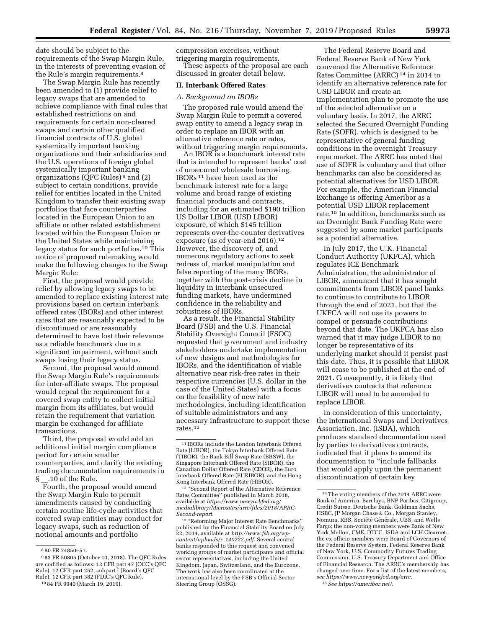date should be subject to the requirements of the Swap Margin Rule, in the interests of preventing evasion of the Rule's margin requirements.<sup>8</sup>

The Swap Margin Rule has recently been amended to (1) provide relief to legacy swaps that are amended to achieve compliance with final rules that established restrictions on and requirements for certain non-cleared swaps and certain other qualified financial contracts of U.S. global systemically important banking organizations and their subsidiaries and the U.S. operations of foreign global systemically important banking organizations (QFC Rules) 9 and (2) subject to certain conditions, provide relief for entities located in the United Kingdom to transfer their existing swap portfolios that face counterparties located in the European Union to an affiliate or other related establishment located within the European Union or the United States while maintaining legacy status for such portfolios.10 This notice of proposed rulemaking would make the following changes to the Swap Margin Rule:

First, the proposal would provide relief by allowing legacy swaps to be amended to replace existing interest rate provisions based on certain interbank offered rates (IBORs) and other interest rates that are reasonably expected to be discontinued or are reasonably determined to have lost their relevance as a reliable benchmark due to a significant impairment, without such swaps losing their legacy status.

Second, the proposal would amend the Swap Margin Rule's requirements for inter-affiliate swaps. The proposal would repeal the requirement for a covered swap entity to collect initial margin from its affiliates, but would retain the requirement that variation margin be exchanged for affiliate transactions.

Third, the proposal would add an additional initial margin compliance period for certain smaller counterparties, and clarify the existing trading documentation requirements in § .10 of the Rule.

Fourth, the proposal would amend the Swap Margin Rule to permit amendments caused by conducting certain routine life-cycle activities that covered swap entities may conduct for legacy swaps, such as reduction of notional amounts and portfolio

10 84 FR 9940 (March 19, 2019).

compression exercises, without triggering margin requirements.

These aspects of the proposal are each discussed in greater detail below.

# **II. Interbank Offered Rates**

# *A. Background on IBORs*

The proposed rule would amend the Swap Margin Rule to permit a covered swap entity to amend a legacy swap in order to replace an IBOR with an alternative reference rate or rates, without triggering margin requirements.

An IBOR is a benchmark interest rate that is intended to represent banks' cost of unsecured wholesale borrowing. IBORs 11 have been used as the benchmark interest rate for a large volume and broad range of existing financial products and contracts, including for an estimated \$190 trillion US Dollar LIBOR (USD LIBOR) exposure, of which \$145 trillion represents over-the-counter derivatives exposure (as of year-end 2016).12 However, the discovery of, and numerous regulatory actions to seek redress of, market manipulation and false reporting of the many IBORs, together with the post-crisis decline in liquidity in interbank unsecured funding markets, have undermined confidence in the reliability and robustness of IBORs.

As a result, the Financial Stability Board (FSB) and the U.S. Financial Stability Oversight Council (FSOC) requested that government and industry stakeholders undertake implementation of new designs and methodologies for IBORs, and the identification of viable alternative near risk-free rates in their respective currencies (U.S. dollar in the case of the United States) with a focus on the feasibility of new rate methodologies, including identification of suitable administrators and any necessary infrastructure to support these rates.13

12 ''Second Report of the Alternative Reference Rates Committee'' published in March 2018, available at *[https://www.newyorkfed.org/](https://www.newyorkfed.org/medialibrary/Microsites/arrc/files/2018/ARRC-Second-report) [medialibrary/Microsites/arrc/files/2018/ARRC-](https://www.newyorkfed.org/medialibrary/Microsites/arrc/files/2018/ARRC-Second-report)[Second-report](https://www.newyorkfed.org/medialibrary/Microsites/arrc/files/2018/ARRC-Second-report)*.

13 ''Reforming Major Interest Rate Benchmarks'' published by the Financial Stability Board on July 22, 2014, available at *[http://www.fsb.org/wp](http://www.fsb.org/wp-content/uploads/r_140722.pdf)[content/uploads/r](http://www.fsb.org/wp-content/uploads/r_140722.pdf)*\_*140722.pdf*. Several central banks responded to this request and convened working groups of market participants and official sector representatives, including the United Kingdom, Japan, Switzerland, and the Eurozone. The work has also been coordinated at the international level by the FSB's Official Sector Steering Group (OSSG).

The Federal Reserve Board and Federal Reserve Bank of New York convened the Alternative Reference Rates Committee (ARRC) 14 in 2014 to identify an alternative reference rate for USD LIBOR and create an implementation plan to promote the use of the selected alternative on a voluntary basis. In 2017, the ARRC selected the Secured Overnight Funding Rate (SOFR), which is designed to be representative of general funding conditions in the overnight Treasury repo market. The ARRC has noted that use of SOFR is voluntary and that other benchmarks can also be considered as potential alternatives for USD LIBOR. For example, the American Financial Exchange is offering Ameribor as a potential USD LIBOR replacement rate.15 In addition, benchmarks such as an Overnight Bank Funding Rate were suggested by some market participants as a potential alternative.

In July 2017, the U.K. Financial Conduct Authority (UKFCA), which regulates ICE Benchmark Administration, the administrator of LIBOR, announced that it has sought commitments from LIBOR panel banks to continue to contribute to LIBOR through the end of 2021, but that the UKFCA will not use its powers to compel or persuade contributions beyond that date. The UKFCA has also warned that it may judge LIBOR to no longer be representative of its underlying market should it persist past this date. Thus, it is possible that LIBOR will cease to be published at the end of 2021. Consequently, it is likely that derivatives contracts that reference LIBOR will need to be amended to replace LIBOR.

In consideration of this uncertainty, the International Swaps and Derivatives Association, Inc. (ISDA), which produces standard documentation used by parties to derivatives contracts, indicated that it plans to amend its documentation to ''include fallbacks that would apply upon the permanent discontinuation of certain key

<sup>8</sup> 80 FR 74850–51.

<sup>9</sup> 83 FR 50805 (October 10, 2018). The QFC Rules are codified as follows: 12 CFR part 47 (OCC's QFC Rule); 12 CFR part 252, subpart I (Board's QFC Rule); 12 CFR part 382 (FDIC's QFC Rule).

<sup>11</sup> IBORs include the London Interbank Offered Rate (LIBOR), the Tokyo Interbank Offered Rate (TIBOR), the Bank Bill Swap Rate (BBSW), the Singapore Interbank Offered Rate (SIBOR), the Canadian Dollar Offered Rate (CDOR), the Euro Interbank Offered Rate (EURIBOR), and the Hong Kong Interbank Offered Rate (HIBOR).

<sup>14</sup>The voting members of the 2014 ARRC were Bank of America, Barclays, BNP Paribas, Citigroup, Credit Suisse, Deutsche Bank, Goldman Sachs, HSBC, JP Morgan Chase & Co., Morgan Stanley, Nomura, RBS, Société Générale, UBS, and Wells Fargo; the non-voting members were Bank of New York Mellon, CME, DTCC, ISDA and LCH.Clearnet; the ex officio members were Board of Governors of the Federal Reserve System, Federal Reserve Bank of New York, U.S. Commodity Futures Trading Commission, U.S. Treasury Department and Office of Financial Research. The ARRC's membership has changed over time. For a list of the latest members, *see<https://www.newyorkfed.org/arrc>*.

<sup>15</sup>*See<https://ameribor.net/>*.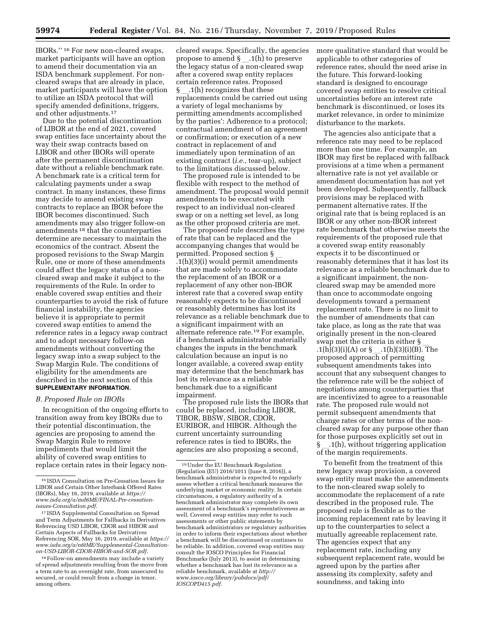IBORs.'' 16 For new non-cleared swaps, market participants will have an option to amend their documentation via an ISDA benchmark supplement. For noncleared swaps that are already in place, market participants will have the option to utilize an ISDA protocol that will specify amended definitions, triggers, and other adjustments.17

Due to the potential discontinuation of LIBOR at the end of 2021, covered swap entities face uncertainty about the way their swap contracts based on LIBOR and other IBORs will operate after the permanent discontinuation date without a reliable benchmark rate. A benchmark rate is a critical term for calculating payments under a swap contract. In many instances, these firms may decide to amend existing swap contracts to replace an IBOR before the IBOR becomes discontinued. Such amendments may also trigger follow-on amendments 18 that the counterparties determine are necessary to maintain the economics of the contract. Absent the proposed revisions to the Swap Margin Rule, one or more of these amendments could affect the legacy status of a noncleared swap and make it subject to the requirements of the Rule. In order to enable covered swap entities and their counterparties to avoid the risk of future financial instability, the agencies believe it is appropriate to permit covered swap entities to amend the reference rates in a legacy swap contract and to adopt necessary follow-on amendments without converting the legacy swap into a swap subject to the Swap Margin Rule. The conditions of eligibility for the amendments are described in the next section of this **SUPPLEMENTARY INFORMATION**.

#### *B. Proposed Rule on IBORs*

In recognition of the ongoing efforts to transition away from key IBORs due to their potential discontinuation, the agencies are proposing to amend the Swap Margin Rule to remove impediments that would limit the ability of covered swap entities to replace certain rates in their legacy non-

cleared swaps. Specifically, the agencies propose to amend  $\S$  \_ .1(h) to preserve the legacy status of a non-cleared swap after a covered swap entity replaces certain reference rates. Proposed § .1(h) recognizes that these replacements could be carried out using a variety of legal mechanisms by permitting amendments accomplished by the parties': Adherence to a protocol; contractual amendment of an agreement or confirmation; or execution of a new contract in replacement of and immediately upon termination of an existing contract (*i.e.,* tear-up), subject to the limitations discussed below.

The proposed rule is intended to be flexible with respect to the method of amendment. The proposal would permit amendments to be executed with respect to an individual non-cleared swap or on a netting set level, as long as the other proposed criteria are met.

The proposed rule describes the type of rate that can be replaced and the accompanying changes that would be permitted. Proposed section § l .1(h)(3)(i) would permit amendments that are made solely to accommodate the replacement of an IBOR or a replacement of any other non-IBOR interest rate that a covered swap entity reasonably expects to be discontinued or reasonably determines has lost its relevance as a reliable benchmark due to a significant impairment with an alternate reference rate.19 For example, if a benchmark administrator materially changes the inputs in the benchmark calculation because an input is no longer available, a covered swap entity may determine that the benchmark has lost its relevance as a reliable benchmark due to a significant impairment.

The proposed rule lists the IBORs that could be replaced, including LIBOR, TIBOR, BBSW, SIBOR, CDOR, EURIBOR, and HIBOR. Although the current uncertainty surrounding reference rates is tied to IBORs, the agencies are also proposing a second,

more qualitative standard that would be applicable to other categories of reference rates, should the need arise in the future. This forward-looking standard is designed to encourage covered swap entities to resolve critical uncertainties before an interest rate benchmark is discontinued, or loses its market relevance, in order to minimize disturbance to the markets.

The agencies also anticipate that a reference rate may need to be replaced more than one time. For example, an IBOR may first be replaced with fallback provisions at a time when a permanent alternative rate is not yet available or amendment documentation has not yet been developed. Subsequently, fallback provisions may be replaced with permanent alternative rates. If the original rate that is being replaced is an IBOR or any other non-IBOR interest rate benchmark that otherwise meets the requirements of the proposed rule that a covered swap entity reasonably expects it to be discontinued or reasonably determines that it has lost its relevance as a reliable benchmark due to a significant impairment, the noncleared swap may be amended more than once to accommodate ongoing developments toward a permanent replacement rate. There is no limit to the number of amendments that can take place, as long as the rate that was originally present in the non-cleared swap met the criteria in either § .1(h)(3)(i)(A) or  $\S$ .1(h)(3)(i)(B). The proposed approach of permitting subsequent amendments takes into account that any subsequent changes to the reference rate will be the subject of negotiations among counterparties that are incentivized to agree to a reasonable rate. The proposed rule would not permit subsequent amendments that change rates or other terms of the noncleared swap for any purpose other than for those purposes explicitly set out in  $\S$  \_1(h), without triggering application of the margin requirements.

To benefit from the treatment of this new legacy swap provision, a covered swap entity must make the amendments to the non-cleared swap solely to accommodate the replacement of a rate described in the proposed rule. The proposed rule is flexible as to the incoming replacement rate by leaving it up to the counterparties to select a mutually agreeable replacement rate. The agencies expect that any replacement rate, including any subsequent replacement rate, would be agreed upon by the parties after assessing its complexity, safety and soundness, and taking into

<sup>16</sup> ISDA Consultation on Pre-Cessation Issues for LIBOR and Certain Other Interbank Offered Rates (IBORs), May 16, 2019, available at *[https://](https://www.isda.org/a/md6ME/FINAL-Pre-cessation-issues-Consultation.pdf) [www.isda.org/a/md6ME/FINAL-Pre-cessation](https://www.isda.org/a/md6ME/FINAL-Pre-cessation-issues-Consultation.pdf)[issues-Consultation.pdf](https://www.isda.org/a/md6ME/FINAL-Pre-cessation-issues-Consultation.pdf)*.

<sup>17</sup> ISDA Supplemental Consultation on Spread and Term Adjustments for Fallbacks in Derivatives Referencing USD LIBOR, CDOR and HIBOR and Certain Aspects of Fallbacks for Derivatives Referencing SOR, May 16, 2019, available at *[https://](https://www.isda.org/a/n6tME/Supplemental-Consultation-on-USD-LIBOR-CDOR-HIBOR-and-SOR.pdf) [www.isda.org/a/n6tME/Supplemental-Consultation](https://www.isda.org/a/n6tME/Supplemental-Consultation-on-USD-LIBOR-CDOR-HIBOR-and-SOR.pdf)[on-USD-LIBOR-CDOR-HIBOR-and-SOR.pdf](https://www.isda.org/a/n6tME/Supplemental-Consultation-on-USD-LIBOR-CDOR-HIBOR-and-SOR.pdf)*.

<sup>18</sup>Follow-on amendments may include a variety of spread adjustments resulting from the move from a term rate to an overnight rate, from unsecured to secured, or could result from a change in tenor, among others.

 $19$ Under the EU Benchmark Regulation (Regulation (EU) 2016/1011 (June 8, 2016)), a benchmark administrator is expected to regularly assess whether a critical benchmark measures the underlying market or economic reality. In certain circumstances, a regulatory authority of a benchmark administrator may complete its own assessment of a benchmark's representativeness as well. Covered swap entities may refer to such assessments or other public statements by benchmark administrators or regulatory authorities in order to inform their expectations about whether a benchmark will be discontinued or continues to be reliable. In addition, covered swap entities may consult the IOSCO Principles for Financial Benchmarks (July 2013), to assist in determining whether a benchmark has lost its relevance as a reliable benchmark, available at *[http://](http://www.iosco.org/library/pubdocs/pdf/IOSCOPD415.pdf) [www.iosco.org/library/pubdocs/pdf/](http://www.iosco.org/library/pubdocs/pdf/IOSCOPD415.pdf)  [IOSCOPD415.pdf](http://www.iosco.org/library/pubdocs/pdf/IOSCOPD415.pdf)*.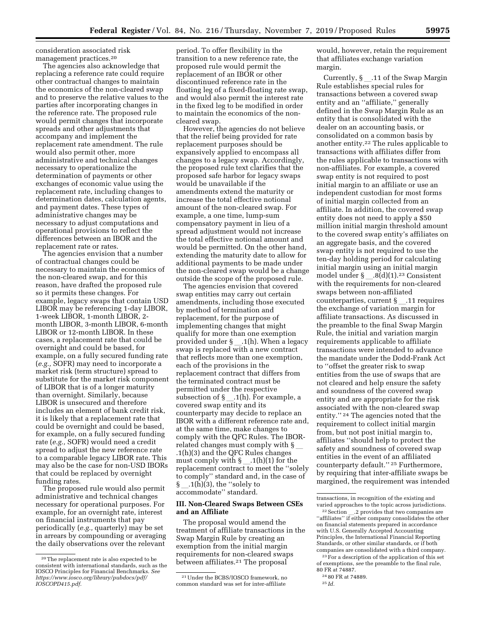consideration associated risk management practices.20

The agencies also acknowledge that replacing a reference rate could require other contractual changes to maintain the economics of the non-cleared swap and to preserve the relative values to the parties after incorporating changes in the reference rate. The proposed rule would permit changes that incorporate spreads and other adjustments that accompany and implement the replacement rate amendment. The rule would also permit other, more administrative and technical changes necessary to operationalize the determination of payments or other exchanges of economic value using the replacement rate, including changes to determination dates, calculation agents, and payment dates. These types of administrative changes may be necessary to adjust computations and operational provisions to reflect the differences between an IBOR and the replacement rate or rates.

The agencies envision that a number of contractual changes could be necessary to maintain the economics of the non-cleared swap, and for this reason, have drafted the proposed rule so it permits these changes. For example, legacy swaps that contain USD LIBOR may be referencing 1-day LIBOR, 1-week LIBOR, 1-month LIBOR, 2 month LIBOR, 3-month LIBOR, 6-month LIBOR or 12-month LIBOR. In these cases, a replacement rate that could be overnight and could be based, for example, on a fully secured funding rate (*e.g.,* SOFR) may need to incorporate a market risk (term structure) spread to substitute for the market risk component of LIBOR that is of a longer maturity than overnight. Similarly, because LIBOR is unsecured and therefore includes an element of bank credit risk, it is likely that a replacement rate that could be overnight and could be based, for example, on a fully secured funding rate (*e.g.,* SOFR) would need a credit spread to adjust the new reference rate to a comparable legacy LIBOR rate. This may also be the case for non-USD IBORs that could be replaced by overnight funding rates.

The proposed rule would also permit administrative and technical changes necessary for operational purposes. For example, for an overnight rate, interest on financial instruments that pay periodically (*e.g.,* quarterly) may be set in arrears by compounding or averaging the daily observations over the relevant

period. To offer flexibility in the transition to a new reference rate, the proposed rule would permit the replacement of an IBOR or other discontinued reference rate in the floating leg of a fixed-floating rate swap, and would also permit the interest rate in the fixed leg to be modified in order to maintain the economics of the noncleared swap.

However, the agencies do not believe that the relief being provided for rate replacement purposes should be expansively applied to encompass all changes to a legacy swap. Accordingly, the proposed rule text clarifies that the proposed safe harbor for legacy swaps would be unavailable if the amendments extend the maturity or increase the total effective notional amount of the non-cleared swap. For example, a one time, lump-sum compensatory payment in lieu of a spread adjustment would not increase the total effective notional amount and would be permitted. On the other hand, extending the maturity date to allow for additional payments to be made under the non-cleared swap would be a change outside the scope of the proposed rule.

The agencies envision that covered swap entities may carry out certain amendments, including those executed by method of termination and replacement, for the purpose of implementing changes that might qualify for more than one exemption provided under  $\S$  .1(h). When a legacy swap is replaced with a new contract that reflects more than one exemption, each of the provisions in the replacement contract that differs from the terminated contract must be permitted under the respective subsection of  $\S$  .1(h). For example, a covered swap entity and its counterparty may decide to replace an IBOR with a different reference rate and, at the same time, make changes to comply with the QFC Rules. The IBORrelated changes must comply with  $\S$ .1(h)(3) and the QFC Rules changes must comply with  $\S$  \_1(h)(1) for the replacement contract to meet the ''solely to comply'' standard and, in the case of  $\lfloor$ .1(h)(3), the ''solely to accommodate'' standard.

#### **III. Non-Cleared Swaps Between CSEs and an Affiliate**

The proposal would amend the treatment of affiliate transactions in the Swap Margin Rule by creating an exemption from the initial margin requirements for non-cleared swaps between affiliates.<sup>21</sup> The proposal

would, however, retain the requirement that affiliates exchange variation margin.

Currently, §\_.11 of the Swap Margin Rule establishes special rules for transactions between a covered swap entity and an ''affiliate,'' generally defined in the Swap Margin Rule as an entity that is consolidated with the dealer on an accounting basis, or consolidated on a common basis by another entity.22 The rules applicable to transactions with affiliates differ from the rules applicable to transactions with non-affiliates. For example, a covered swap entity is not required to post initial margin to an affiliate or use an independent custodian for most forms of initial margin collected from an affiliate. In addition, the covered swap entity does not need to apply a \$50 million initial margin threshold amount to the covered swap entity's affiliates on an aggregate basis, and the covered swap entity is not required to use the ten-day holding period for calculating initial margin using an initial margin model under  $\S$  .8(d)(1).<sup>23</sup> Consistent with the requirements for non-cleared swaps between non-affiliated counterparties, current  $\S$  .11 requires the exchange of variation margin for affiliate transactions. As discussed in the preamble to the final Swap Margin Rule, the initial and variation margin requirements applicable to affiliate transactions were intended to advance the mandate under the Dodd-Frank Act to ''offset the greater risk to swap entities from the use of swaps that are not cleared and help ensure the safety and soundness of the covered swap entity and are appropriate for the risk associated with the non-cleared swap entity.'' 24 The agencies noted that the requirement to collect initial margin from, but not post initial margin to, affiliates ''should help to protect the safety and soundness of covered swap entities in the event of an affiliated counterparty default.'' 25 Furthermore, by requiring that inter-affiliate swaps be margined, the requirement was intended

of exemptions, *see* the preamble to the final rule, 80 FR at 74887.

<sup>20</sup>The replacement rate is also expected to be consistent with international standards, such as the IOSCO Principles for Financial Benchmarks. *See [https://www.iosco.org/library/pubdocs/pdf/](https://www.iosco.org/library/pubdocs/pdf/IOSCOPD415.pdf)  [IOSCOPD415.pdf](https://www.iosco.org/library/pubdocs/pdf/IOSCOPD415.pdf)*.

<sup>21</sup>Under the BCBS/IOSCO framework, no common standard was set for inter-affiliate

transactions, in recognition of the existing and varied approaches to the topic across jurisdictions.

 $^{22}$  Section  $\_\_$ .2 provides that two companies are "affiliates" if either company consolidates the other on financial statements prepared in accordance with U.S. Generally Accepted Accounting Principles, the International Financial Reporting Standards, or other similar standards, or if both companies are consolidated with a third company. 23For a description of the application of this set

<sup>24</sup> 80 FR at 74889.

<sup>25</sup> *Id.*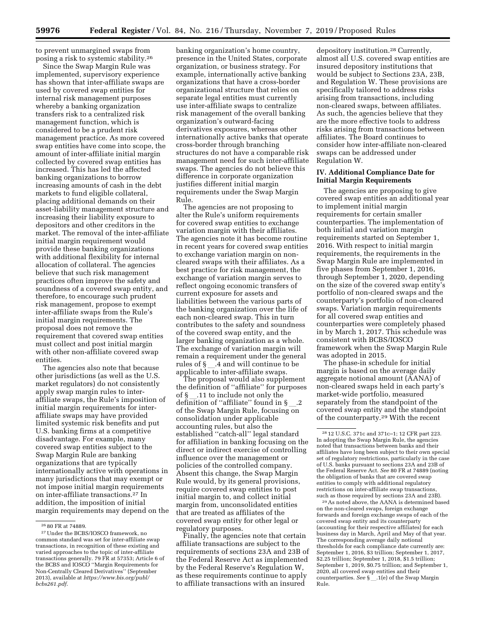to prevent unmargined swaps from posing a risk to systemic stability.26

Since the Swap Margin Rule was implemented, supervisory experience has shown that inter-affiliate swaps are used by covered swap entities for internal risk management purposes whereby a banking organization transfers risk to a centralized risk management function, which is considered to be a prudent risk management practice. As more covered swap entities have come into scope, the amount of inter-affiliate initial margin collected by covered swap entities has increased. This has led the affected banking organizations to borrow increasing amounts of cash in the debt markets to fund eligible collateral, placing additional demands on their asset-liability management structure and increasing their liability exposure to depositors and other creditors in the market. The removal of the inter-affiliate initial margin requirement would provide these banking organizations with additional flexibility for internal allocation of collateral. The agencies believe that such risk management practices often improve the safety and soundness of a covered swap entity, and therefore, to encourage such prudent risk management, propose to exempt inter-affiliate swaps from the Rule's initial margin requirements. The proposal does not remove the requirement that covered swap entities must collect and post initial margin with other non-affiliate covered swap entities.

The agencies also note that because other jurisdictions (as well as the U.S. market regulators) do not consistently apply swap margin rules to interaffiliate swaps, the Rule's imposition of initial margin requirements for interaffiliate swaps may have provided limited systemic risk benefits and put U.S. banking firms at a competitive disadvantage. For example, many covered swap entities subject to the Swap Margin Rule are banking organizations that are typically internationally active with operations in many jurisdictions that may exempt or not impose initial margin requirements on inter-affiliate transactions.27 In addition, the imposition of initial margin requirements may depend on the

banking organization's home country, presence in the United States, corporate organization, or business strategy. For example, internationally active banking organizations that have a cross-border organizational structure that relies on separate legal entities must currently use inter-affiliate swaps to centralize risk management of the overall banking organization's outward-facing derivatives exposures, whereas other internationally active banks that operate cross-border through branching structures do not have a comparable risk management need for such inter-affiliate swaps. The agencies do not believe this difference in corporate organization justifies different initial margin requirements under the Swap Margin Rule.

The agencies are not proposing to alter the Rule's uniform requirements for covered swap entities to exchange variation margin with their affiliates. The agencies note it has become routine in recent years for covered swap entities to exchange variation margin on noncleared swaps with their affiliates. As a best practice for risk management, the exchange of variation margin serves to reflect ongoing economic transfers of current exposure for assets and liabilities between the various parts of the banking organization over the life of each non-cleared swap. This in turn contributes to the safety and soundness of the covered swap entity, and the larger banking organization as a whole. The exchange of variation margin will remain a requirement under the general rules of § \_\_.4 and will continue to be applicable to inter-affiliate swaps.

The proposal would also supplement the definition of ''affiliate'' for purposes of §l.11 to include not only the definition of "affiliate" found in  $\S$ of the Swap Margin Rule, focusing on consolidation under applicable accounting rules, but also the established ''catch-all'' legal standard for affiliation in banking focusing on the direct or indirect exercise of controlling influence over the management or policies of the controlled company. Absent this change, the Swap Margin Rule would, by its general provisions, require covered swap entities to post initial margin to, and collect initial margin from, unconsolidated entities that are treated as affiliates of the covered swap entity for other legal or regulatory purposes.

Finally, the agencies note that certain affiliate transactions are subject to the requirements of sections 23A and 23B of the Federal Reserve Act as implemented by the Federal Reserve's Regulation W, as these requirements continue to apply to affiliate transactions with an insured

depository institution.28 Currently, almost all U.S. covered swap entities are insured depository institutions that would be subject to Sections 23A, 23B, and Regulation W. These provisions are specifically tailored to address risks arising from transactions, including non-cleared swaps, between affiliates. As such, the agencies believe that they are the more effective tools to address risks arising from transactions between affiliates. The Board continues to consider how inter-affiliate non-cleared swaps can be addressed under Regulation W.

#### **IV. Additional Compliance Date for Initial Margin Requirements**

The agencies are proposing to give covered swap entities an additional year to implement initial margin requirements for certain smaller counterparties. The implementation of both initial and variation margin requirements started on September 1, 2016. With respect to initial margin requirements, the requirements in the Swap Margin Rule are implemented in five phases from September 1, 2016, through September 1, 2020, depending on the size of the covered swap entity's portfolio of non-cleared swaps and the counterparty's portfolio of non-cleared swaps. Variation margin requirements for all covered swap entities and counterparties were completely phased in by March 1, 2017. This schedule was consistent with BCBS/IOSCO framework when the Swap Margin Rule was adopted in 2015.

The phase-in schedule for initial margin is based on the average daily aggregate notional amount (AANA) of non-cleared swaps held in each party's market-wide portfolio, measured separately from the standpoint of the covered swap entity and the standpoint of the counterparty.29 With the recent

29As noted above, the AANA is determined based on the non-cleared swaps, foreign exchange forwards and foreign exchange swaps of each of the covered swap entity and its counterparty (accounting for their respective affiliates) for each business day in March, April and May of that year. The corresponding average daily notional thresholds for each compliance date currently are: September 1, 2016, \$3 trillion; September 1, 2017, \$2.25 trillion; September 1, 2018, \$1.5 trillion; September 1, 2019, \$0.75 trillion; and September 1, 2020, all covered swap entities and their counterparties. *See* §\_1(e) of the Swap Margin Rule.

<sup>26</sup> 80 FR at 74889.

<sup>27</sup>Under the BCBS/IOSCO framework, no common standard was set for inter-affiliate swap transactions, in recognition of these existing and varied approaches to the topic of inter-affiliate transactions generally. 79 FR at 57353; Article 6 of the BCBS and IOSCO ''Margin Requirements for Non-Centrally Cleared Derivatives'' (September 2013), available at *[https://www.bis.org/publ/](https://www.bis.org/publ/bcbs261.pdf) [bcbs261.pdf](https://www.bis.org/publ/bcbs261.pdf)*.

<sup>28</sup> 12 U.S.C. 371c and 371c–1; 12 CFR part 223. In adopting the Swap Margin Rule, the agencies noted that transactions between banks and their affiliates have long been subject to their own special set of regulatory restrictions, particularly in the case of U.S. banks pursuant to sections 23A and 23B of the Federal Reserve Act. *See* 80 FR at 74889 (noting the obligation of banks that are covered swap entities to comply with additional regulatory restrictions on inter-affiliate swap transactions such as those required by sections 23A and 23B).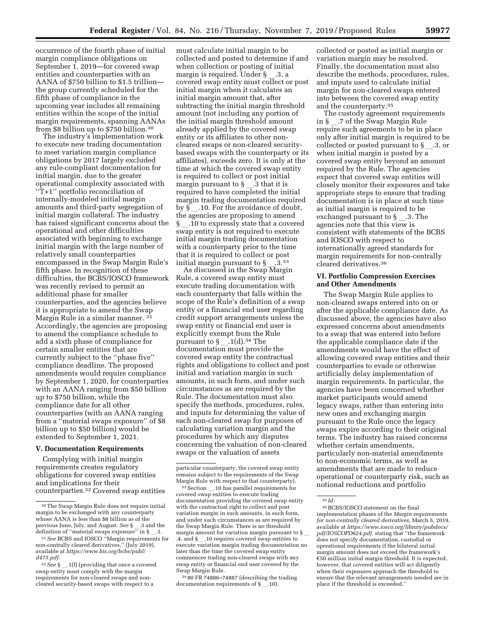occurrence of the fourth phase of initial margin compliance obligations on September 1, 2019—for covered swap entities and counterparties with an AANA of \$750 billion to \$1.5 trillion the group currently scheduled for the fifth phase of compliance in the upcoming year includes all remaining entities within the scope of the initial margin requirements, spanning AANAs from \$8 billion up to \$750 billion.30

The industry's implementation work to execute new trading documentation to meet variation margin compliance obligations by 2017 largely excluded any rule-compliant documentation for initial margin, due to the greater operational complexity associated with ''T+1'' portfolio reconciliation of internally-modeled initial margin amounts and third-party segregation of initial margin collateral. The industry has raised significant concerns about the operational and other difficulties associated with beginning to exchange initial margin with the large number of relatively small counterparties encompassed in the Swap Margin Rule's fifth phase. In recognition of these difficulties, the BCBS/IOSCO framework was recently revised to permit an additional phase for smaller counterparties, and the agencies believe it is appropriate to amend the Swap Margin Rule in a similar manner. 31 Accordingly, the agencies are proposing to amend the compliance schedule to add a sixth phase of compliance for certain smaller entities that are currently subject to the ''phase five'' compliance deadline. The proposed amendments would require compliance by September 1, 2020, for counterparties with an AANA ranging from \$50 billion up to \$750 billion, while the compliance date for all other counterparties (with an AANA ranging from a ''material swaps exposure'' of \$8 billion up to \$50 billion) would be extended to September 1, 2021.

#### **V. Documentation Requirements**

Complying with initial margin requirements creates regulatory obligations for covered swap entities and implications for their counterparties.32 Covered swap entities must calculate initial margin to be collected and posted to determine if and when collection or posting of initial margin is required. Under §\_.3, a<br>covered swap entity must collect or post initial margin when it calculates an initial margin amount that, after subtracting the initial margin threshold amount (not including any portion of the initial margin threshold amount already applied by the covered swap entity or its affiliates to other noncleared swaps or non-cleared securitybased swaps with the counterparty or its affiliates), exceeds zero. It is only at the time at which the covered swap entity is required to collect or post initial margin pursuant to  $\S$  \_ .3 that it is required to have completed the initial margin trading documentation required by §\_.10. For the avoidance of doubt, the agencies are proposing to amend § l.10 to expressly state that a covered swap entity is not required to execute initial margin trading documentation with a counterparty prior to the time that it is required to collect or post initial margin pursuant to §<sub>\_\_</sub>.3.<sup>33</sup><br>As discussed in the Swap Margin

Rule, a covered swap entity must execute trading documentation with each counterparty that falls within the scope of the Rule's definition of a swap entity or a financial end user regarding credit support arrangements unless the swap entity or financial end user is explicitly exempt from the Rule pursuant to  $\S$  .1(d).<sup>34</sup> The documentation must provide the covered swap entity the contractual rights and obligations to collect and post initial and variation margin in such amounts, in such form, and under such circumstances as are required by the Rule. The documentation must also specify the methods, procedures, rules, and inputs for determining the value of each non-cleared swap for purposes of calculating variation margin and the procedures by which any disputes concerning the valuation of non-cleared swaps or the valuation of assets

34 80 FR 74886–74887 (describing the trading documentation requirements of  $\S$ .10).

collected or posted as initial margin or variation margin may be resolved. Finally, the documentation must also describe the methods, procedures, rules, and inputs used to calculate initial margin for non-cleared swaps entered into between the covered swap entity and the counterparty.35

The custody agreement requirements in §\_.7 of the Swap Margin Rule require such agreements to be in place only after initial margin is required to be collected or posted pursuant to  $\S$ . 3, or when initial margin is posted by a covered swap entity beyond an amount required by the Rule. The agencies expect that covered swap entities will closely monitor their exposures and take appropriate steps to ensure that trading documentation is in place at such time as initial margin is required to be exchanged pursuant to  $\S$ .3. The agencies note that this view is consistent with statements of the BCBS and IOSCO with respect to internationally agreed standards for margin requirements for non-centrally cleared derivatives.36

#### **VI. Portfolio Compression Exercises and Other Amendments**

The Swap Margin Rule applies to non-cleared swaps entered into on or after the applicable compliance date. As discussed above, the agencies have also expressed concerns about amendments to a swap that was entered into before the applicable compliance date if the amendments would have the effect of allowing covered swap entities and their counterparties to evade or otherwise artificially delay implementation of margin requirements. In particular, the agencies have been concerned whether market participants would amend legacy swaps, rather than entering into new ones and exchanging margin pursuant to the Rule once the legacy swaps expire according to their original terms. The industry has raised concerns whether certain amendments, particularly non-material amendments to non-economic terms, as well as amendments that are made to reduce operational or counterparty risk, such as notional reductions and portfolio

<sup>30</sup>The Swap Margin Rule does not require initial margin to be exchanged with any counterparty whose AANA is less than \$8 billion as of the previous June, July, and August. *See* §\_\_.3 and the<br>definition of ''material swans exposure'' in §\_\_1 definition of "material swaps exposure" in §\_\_.1.<br>31 See BCBS and IOSCO "Margin requirements f

<sup>31</sup>*See* BCBS and IOSCO ''Margin requirements for non-centrally cleared derivatives,'' (July 2019), available at *[https://www.bis.org/bcbs/publ/](https://www.bis.org/bcbs/publ/d475.pdf)  [d475.pdf](https://www.bis.org/bcbs/publ/d475.pdf)*.

<sup>&</sup>lt;sup>32</sup> See §\_\_.1(f) (providing that once a covered swap entity must comply with the margin requirements for non-cleared swaps and noncleared security-based swaps with respect to a

particular counterparty, the covered swap entity remains subject to the requirements of the Swap Margin Rule with respect to that counterparty).

<sup>&</sup>lt;sup>33</sup> Section \_\_.10 has parallel requirements for covered swap entities to execute trading documentation providing the covered swap entity with the contractual right to collect and post variation margin in such amounts, in such form, and under such circumstances as are required by the Swap Margin Rule. There is no threshold margin amount for variation margin pursuant to  $\S$ .4, and §l.10 requires covered swap entities to execute variation margin trading documentation no later than the time the covered swap entity commences trading non-cleared swaps with any swap entity or financial end user covered by the Swap Margin Rule.

<sup>35</sup> *Id.* 

<sup>36</sup>BCBS/IOSCO statement on the final implementation phases of the *Margin requirements for non-centrally cleared derivatives,* March 5, 2019, available at *[https://www.iosco.org/library/pubdocs/](https://www.iosco.org/library/pubdocs/pdf/IOSCOPD624.pdf) [pdf/IOSCOPD624.pdf,](https://www.iosco.org/library/pubdocs/pdf/IOSCOPD624.pdf)* stating that ''the framework does not specify documentation, custodial or operational requirements if the bilateral initial margin amount does not exceed the framework's  $$50$  million initial margin threshold. It is expected, however, that covered entities will act diligently when their exposures approach the threshold to ensure that the relevant arrangements needed are in place if the threshold is exceeded.''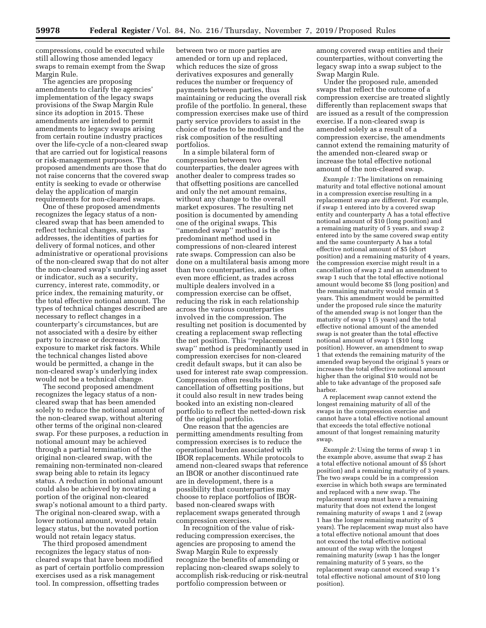compressions, could be executed while still allowing those amended legacy swaps to remain exempt from the Swap Margin Rule.

The agencies are proposing amendments to clarify the agencies' implementation of the legacy swaps provisions of the Swap Margin Rule since its adoption in 2015. These amendments are intended to permit amendments to legacy swaps arising from certain routine industry practices over the life-cycle of a non-cleared swap that are carried out for logistical reasons or risk-management purposes. The proposed amendments are those that do not raise concerns that the covered swap entity is seeking to evade or otherwise delay the application of margin requirements for non-cleared swaps.

One of these proposed amendments recognizes the legacy status of a noncleared swap that has been amended to reflect technical changes, such as addresses, the identities of parties for delivery of formal notices, and other administrative or operational provisions of the non-cleared swap that do not alter the non-cleared swap's underlying asset or indicator, such as a security, currency, interest rate, commodity, or price index, the remaining maturity, or the total effective notional amount. The types of technical changes described are necessary to reflect changes in a counterparty's circumstances, but are not associated with a desire by either party to increase or decrease its exposure to market risk factors. While the technical changes listed above would be permitted, a change in the non-cleared swap's underlying index would not be a technical change.

The second proposed amendment recognizes the legacy status of a noncleared swap that has been amended solely to reduce the notional amount of the non-cleared swap, without altering other terms of the original non-cleared swap. For these purposes, a reduction in notional amount may be achieved through a partial termination of the original non-cleared swap, with the remaining non-terminated non-cleared swap being able to retain its legacy status. A reduction in notional amount could also be achieved by novating a portion of the original non-cleared swap's notional amount to a third party. The original non-cleared swap, with a lower notional amount, would retain legacy status, but the novated portion would not retain legacy status.

The third proposed amendment recognizes the legacy status of noncleared swaps that have been modified as part of certain portfolio compression exercises used as a risk management tool. In compression, offsetting trades

between two or more parties are amended or torn up and replaced, which reduces the size of gross derivatives exposures and generally reduces the number or frequency of payments between parties, thus maintaining or reducing the overall risk profile of the portfolio. In general, these compression exercises make use of third party service providers to assist in the choice of trades to be modified and the risk composition of the resulting portfolios.

In a simple bilateral form of compression between two counterparties, the dealer agrees with another dealer to compress trades so that offsetting positions are cancelled and only the net amount remains, without any change to the overall market exposures. The resulting net position is documented by amending one of the original swaps. This ''amended swap'' method is the predominant method used in compressions of non-cleared interest rate swaps. Compression can also be done on a multilateral basis among more than two counterparties, and is often even more efficient, as trades across multiple dealers involved in a compression exercise can be offset, reducing the risk in each relationship across the various counterparties involved in the compression. The resulting net position is documented by creating a replacement swap reflecting the net position. This ''replacement swap'' method is predominantly used in compression exercises for non-cleared credit default swaps, but it can also be used for interest rate swap compression. Compression often results in the cancellation of offsetting positions, but it could also result in new trades being booked into an existing non-cleared portfolio to reflect the netted-down risk of the original portfolio.

One reason that the agencies are permitting amendments resulting from compression exercises is to reduce the operational burden associated with IBOR replacements. While protocols to amend non-cleared swaps that reference an IBOR or another discontinued rate are in development, there is a possibility that counterparties may choose to replace portfolios of IBORbased non-cleared swaps with replacement swaps generated through compression exercises.

In recognition of the value of riskreducing compression exercises, the agencies are proposing to amend the Swap Margin Rule to expressly recognize the benefits of amending or replacing non-cleared swaps solely to accomplish risk-reducing or risk-neutral portfolio compression between or

among covered swap entities and their counterparties, without converting the legacy swap into a swap subject to the Swap Margin Rule.

Under the proposed rule, amended swaps that reflect the outcome of a compression exercise are treated slightly differently than replacement swaps that are issued as a result of the compression exercise. If a non-cleared swap is amended solely as a result of a compression exercise, the amendments cannot extend the remaining maturity of the amended non-cleared swap or increase the total effective notional amount of the non-cleared swap.

*Example 1:* The limitations on remaining maturity and total effective notional amount in a compression exercise resulting in a replacement swap are different. For example, if swap 1 entered into by a covered swap entity and counterparty A has a total effective notional amount of \$10 (long position) and a remaining maturity of 5 years, and swap 2 entered into by the same covered swap entity and the same counterparty A has a total effective notional amount of \$5 (short position) and a remaining maturity of 4 years, the compression exercise might result in a cancellation of swap 2 and an amendment to swap 1 such that the total effective notional amount would become \$5 (long position) and the remaining maturity would remain at 5 years. This amendment would be permitted under the proposed rule since the maturity of the amended swap is not longer than the maturity of swap 1 (5 years) and the total effective notional amount of the amended swap is not greater than the total effective notional amount of swap 1 (\$10 long position). However, an amendment to swap 1 that extends the remaining maturity of the amended swap beyond the original 5 years or increases the total effective notional amount higher than the original \$10 would not be able to take advantage of the proposed safe harbor.

A replacement swap cannot extend the longest remaining maturity of all of the swaps in the compression exercise and cannot have a total effective notional amount that exceeds the total effective notional amount of that longest remaining maturity swap.

*Example 2:* Using the terms of swap 1 in the example above, assume that swap 2 has a total effective notional amount of \$5 (short position) and a remaining maturity of 3 years. The two swaps could be in a compression exercise in which both swaps are terminated and replaced with a new swap. The replacement swap must have a remaining maturity that does not extend the longest remaining maturity of swaps 1 and 2 (swap 1 has the longer remaining maturity of 5 years). The replacement swap must also have a total effective notional amount that does not exceed the total effective notional amount of the swap with the longest remaining maturity (swap 1 has the longer remaining maturity of 5 years, so the replacement swap cannot exceed swap 1's total effective notional amount of \$10 long position).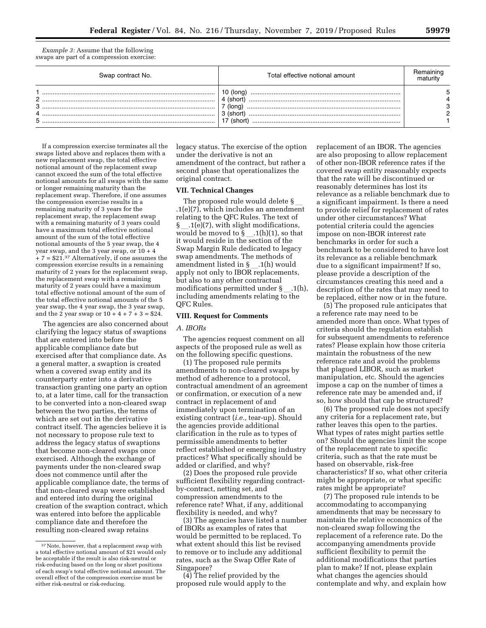*Example 3:* Assume that the following swaps are part of a compression exercise:

| Swap contract No. | Total effective notional amount                |  |
|-------------------|------------------------------------------------|--|
| C<br>3<br>4<br>5  | (lona)<br>(short)<br>(lona<br>(short<br>(short |  |

If a compression exercise terminates all the swaps listed above and replaces them with a new replacement swap, the total effective notional amount of the replacement swap cannot exceed the sum of the total effective notional amounts for all swaps with the same or longer remaining maturity than the replacement swap. Therefore, if one assumes the compression exercise results in a remaining maturity of 3 years for the replacement swap, the replacement swap with a remaining maturity of 3 years could have a maximum total effective notional amount of the sum of the total effective notional amounts of the 5 year swap, the 4 year swap, and the 3 year swap, or  $10 + 4$  $+ 7 = $21.37$  Alternatively, if one assumes the compression exercise results in a remaining maturity of 2 years for the replacement swap, the replacement swap with a remaining maturity of 2 years could have a maximum total effective notional amount of the sum of the total effective notional amounts of the 5 year swap, the 4 year swap, the 3 year swap, and the 2 year swap or  $10 + 4 + 7 + 3 = $24$ .

The agencies are also concerned about clarifying the legacy status of swaptions that are entered into before the applicable compliance date but exercised after that compliance date. As a general matter, a swaption is created when a covered swap entity and its counterparty enter into a derivative transaction granting one party an option to, at a later time, call for the transaction to be converted into a non-cleared swap between the two parties, the terms of which are set out in the derivative contract itself. The agencies believe it is not necessary to propose rule text to address the legacy status of swaptions that become non-cleared swaps once exercised. Although the exchange of payments under the non-cleared swap does not commence until after the applicable compliance date, the terms of that non-cleared swap were established and entered into during the original creation of the swaption contract, which was entered into before the applicable compliance date and therefore the resulting non-cleared swap retains

legacy status. The exercise of the option under the derivative is not an amendment of the contract, but rather a second phase that operationalizes the original contract.

## **VII. Technical Changes**

The proposed rule would delete § .1(e)(7), which includes an amendment relating to the QFC Rules. The text of § .1(e)(7), with slight modifications, would be moved to  $\S$  \_\_ .1(h)(1), so that it would reside in the section of the Swap Margin Rule dedicated to legacy swap amendments. The methods of amendment listed in §\_.1(h) would apply not only to IBOR replacements, but also to any other contractual modifications permitted under  $\S$  .1(h), including amendments relating to the QFC Rules.

#### **VIII. Request for Comments**

#### *A. IBORs*

The agencies request comment on all aspects of the proposed rule as well as on the following specific questions.

(1) The proposed rule permits amendments to non-cleared swaps by method of adherence to a protocol, contractual amendment of an agreement or confirmation, or execution of a new contract in replacement of and immediately upon termination of an existing contract (*i.e.,* tear-up). Should the agencies provide additional clarification in the rule as to types of permissible amendments to better reflect established or emerging industry practices? What specifically should be added or clarified, and why?

(2) Does the proposed rule provide sufficient flexibility regarding contractby-contract, netting set, and compression amendments to the reference rate? What, if any, additional flexibility is needed, and why?

(3) The agencies have listed a number of IBORs as examples of rates that would be permitted to be replaced. To what extent should this list be revised to remove or to include any additional rates, such as the Swap Offer Rate of Singapore?

(4) The relief provided by the proposed rule would apply to the replacement of an IBOR. The agencies are also proposing to allow replacement of other non-IBOR reference rates if the covered swap entity reasonably expects that the rate will be discontinued or reasonably determines has lost its relevance as a reliable benchmark due to a significant impairment. Is there a need to provide relief for replacement of rates under other circumstances? What potential criteria could the agencies impose on non-IBOR interest rate benchmarks in order for such a benchmark to be considered to have lost its relevance as a reliable benchmark due to a significant impairment? If so, please provide a description of the circumstances creating this need and a description of the rates that may need to be replaced, either now or in the future.

(5) The proposed rule anticipates that a reference rate may need to be amended more than once. What types of criteria should the regulation establish for subsequent amendments to reference rates? Please explain how those criteria maintain the robustness of the new reference rate and avoid the problems that plagued LIBOR, such as market manipulation, etc. Should the agencies impose a cap on the number of times a reference rate may be amended and, if so, how should that cap be structured?

(6) The proposed rule does not specify any criteria for a replacement rate, but rather leaves this open to the parties. What types of rates might parties settle on? Should the agencies limit the scope of the replacement rate to specific criteria, such as that the rate must be based on observable, risk-free characteristics? If so, what other criteria might be appropriate, or what specific rates might be appropriate?

(7) The proposed rule intends to be accommodating to accompanying amendments that may be necessary to maintain the relative economics of the non-cleared swap following the replacement of a reference rate. Do the accompanying amendments provide sufficient flexibility to permit the additional modifications that parties plan to make? If not, please explain what changes the agencies should contemplate and why, and explain how

<sup>37</sup>Note, however, that a replacement swap with a total effective notional amount of \$21 would only be acceptable if the result is also risk-neutral or risk-reducing based on the long or short positions of each swap's total effective notional amount. The overall effect of the compression exercise must be either risk-neutral or risk-reducing.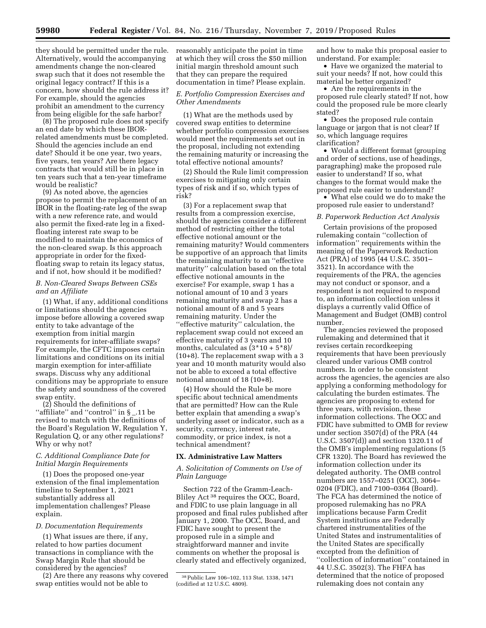they should be permitted under the rule. Alternatively, would the accompanying amendments change the non-cleared swap such that it does not resemble the original legacy contract? If this is a concern, how should the rule address it? For example, should the agencies prohibit an amendment to the currency from being eligible for the safe harbor?

(8) The proposed rule does not specify an end date by which these IBORrelated amendments must be completed. Should the agencies include an end date? Should it be one year, two years, five years, ten years? Are there legacy contracts that would still be in place in ten years such that a ten-year timeframe would be realistic?

(9) As noted above, the agencies propose to permit the replacement of an IBOR in the floating-rate leg of the swap with a new reference rate, and would also permit the fixed-rate leg in a fixedfloating interest rate swap to be modified to maintain the economics of the non-cleared swap. Is this approach appropriate in order for the fixedfloating swap to retain its legacy status, and if not, how should it be modified?

#### *B. Non-Cleared Swaps Between CSEs and an Affiliate*

(1) What, if any, additional conditions or limitations should the agencies impose before allowing a covered swap entity to take advantage of the exemption from initial margin requirements for inter-affiliate swaps? For example, the CFTC imposes certain limitations and conditions on its initial margin exemption for inter-affiliate swaps. Discuss why any additional conditions may be appropriate to ensure the safety and soundness of the covered swap entity.

(2) Should the definitions of "affiliate" and "control" in §\_.11 be revised to match with the definitions of the Board's Regulation W, Regulation Y, Regulation Q, or any other regulations? Why or why not?

## *C. Additional Compliance Date for Initial Margin Requirements*

(1) Does the proposed one-year extension of the final implementation timeline to September 1, 2021 substantially address all implementation challenges? Please explain.

#### *D. Documentation Requirements*

(1) What issues are there, if any, related to how parties document transactions in compliance with the Swap Margin Rule that should be considered by the agencies?

(2) Are there any reasons why covered swap entities would not be able to

reasonably anticipate the point in time at which they will cross the \$50 million initial margin threshold amount such that they can prepare the required documentation in time? Please explain.

#### *E. Portfolio Compression Exercises and Other Amendments*

(1) What are the methods used by covered swap entities to determine whether portfolio compression exercises would meet the requirements set out in the proposal, including not extending the remaining maturity or increasing the total effective notional amounts?

(2) Should the Rule limit compression exercises to mitigating only certain types of risk and if so, which types of risk?

(3) For a replacement swap that results from a compression exercise, should the agencies consider a different method of restricting either the total effective notional amount or the remaining maturity? Would commenters be supportive of an approach that limits the remaining maturity to an ''effective maturity'' calculation based on the total effective notional amounts in the exercise? For example, swap 1 has a notional amount of 10 and 3 years remaining maturity and swap 2 has a notional amount of 8 and 5 years remaining maturity. Under the ''effective maturity'' calculation, the replacement swap could not exceed an effective maturity of 3 years and 10 months, calculated as  $(3*10+5*8)$ / (10+8). The replacement swap with a 3 year and 10 month maturity would also not be able to exceed a total effective notional amount of 18 (10+8).

(4) How should the Rule be more specific about technical amendments that are permitted? How can the Rule better explain that amending a swap's underlying asset or indicator, such as a security, currency, interest rate, commodity, or price index, is not a technical amendment?

#### **IX. Administrative Law Matters**

#### *A. Solicitation of Comments on Use of Plain Language*

Section 722 of the Gramm-Leach-Bliley Act 38 requires the OCC, Board, and FDIC to use plain language in all proposed and final rules published after January 1, 2000. The OCC, Board, and FDIC have sought to present the proposed rule in a simple and straightforward manner and invite comments on whether the proposal is clearly stated and effectively organized,

and how to make this proposal easier to understand. For example:

• Have we organized the material to suit your needs? If not, how could this material be better organized?

• Are the requirements in the proposed rule clearly stated? If not, how could the proposed rule be more clearly stated?

• Does the proposed rule contain language or jargon that is not clear? If so, which language requires clarification?

• Would a different format (grouping) and order of sections, use of headings, paragraphing) make the proposed rule easier to understand? If so, what changes to the format would make the proposed rule easier to understand?

• What else could we do to make the proposed rule easier to understand?

#### *B. Paperwork Reduction Act Analysis*

Certain provisions of the proposed rulemaking contain ''collection of information'' requirements within the meaning of the Paperwork Reduction Act (PRA) of 1995 (44 U.S.C. 3501– 3521). In accordance with the requirements of the PRA, the agencies may not conduct or sponsor, and a respondent is not required to respond to, an information collection unless it displays a currently valid Office of Management and Budget (OMB) control number.

The agencies reviewed the proposed rulemaking and determined that it revises certain recordkeeping requirements that have been previously cleared under various OMB control numbers. In order to be consistent across the agencies, the agencies are also applying a conforming methodology for calculating the burden estimates. The agencies are proposing to extend for three years, with revision, these information collections. The OCC and FDIC have submitted to OMB for review under section 3507(d) of the PRA (44 U.S.C. 3507(d)) and section 1320.11 of the OMB's implementing regulations (5 CFR 1320). The Board has reviewed the information collection under its delegated authority. The OMB control numbers are 1557–0251 (OCC), 3064– 0204 (FDIC), and 7100–0364 (Board). The FCA has determined the notice of proposed rulemaking has no PRA implications because Farm Credit System institutions are Federally chartered instrumentalities of the United States and instrumentalities of the United States are specifically excepted from the definition of ''collection of information'' contained in 44 U.S.C. 3502(3). The FHFA has determined that the notice of proposed rulemaking does not contain any

<sup>38</sup>Public Law 106–102, 113 Stat. 1338, 1471 (codified at 12 U.S.C. 4809).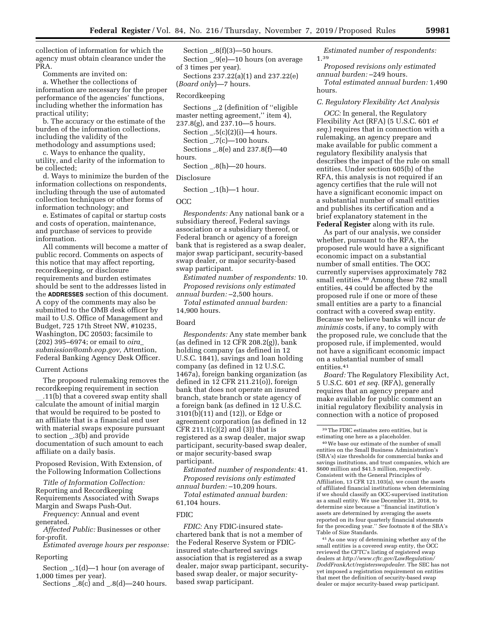collection of information for which the agency must obtain clearance under the PRA.

Comments are invited on:

a. Whether the collections of information are necessary for the proper performance of the agencies' functions, including whether the information has practical utility;

b. The accuracy or the estimate of the burden of the information collections, including the validity of the methodology and assumptions used;

c. Ways to enhance the quality, utility, and clarity of the information to be collected;

d. Ways to minimize the burden of the information collections on respondents, including through the use of automated collection techniques or other forms of information technology; and

e. Estimates of capital or startup costs and costs of operation, maintenance, and purchase of services to provide information.

All comments will become a matter of public record. Comments on aspects of this notice that may affect reporting, recordkeeping, or disclosure requirements and burden estimates should be sent to the addresses listed in the **ADDRESSES** section of this document. A copy of the comments may also be submitted to the OMB desk officer by mail to U.S. Office of Management and Budget, 725 17th Street NW, #10235, Washington, DC 20503; facsimile to (202) 395–6974; or email to *[oira](mailto:oira_submission@omb.eop.gov)*\_ *[submission@omb.eop.gov,](mailto:oira_submission@omb.eop.gov)* Attention, Federal Banking Agency Desk Officer.

#### Current Actions

The proposed rulemaking removes the recordkeeping requirement in section

l.11(b) that a covered swap entity shall calculate the amount of initial margin that would be required to be posted to an affiliate that is a financial end user with material swaps exposure pursuant to section \_.3(b) and provide documentation of such amount to each affiliate on a daily basis.

Proposed Revision, With Extension, of the Following Information Collections

*Title of Information Collection:*  Reporting and Recordkeeping Requirements Associated with Swaps Margin and Swaps Push-Out.

*Frequency:* Annual and event generated.

*Affected Public:* Businesses or other for-profit.

*Estimated average hours per response:* 

## Reporting

Section \_.1(d)—1 hour (on average of 1,000 times per year).

Sections  $\overline{0.8(c)}$  and  $\overline{0.8(d)}$  –240 hours.

Section  $-0.8(f)(3)$ —50 hours. Section \_.9(e)—10 hours (on average of 3 times per year).

Sections 237.22(a)(1) and 237.22(e) (*Board only*)—7 hours.

#### Recordkeeping

Sections \_.2 (definition of ''eligible master netting agreement," item 4),

237.8(g), and 237.10—5 hours. Section  $-.5(c)(2)(i)$ —4 hours. Section \_.7(c)—100 hours. Sections \_.8(e) and 237.8(f)—40

Section \_.8(h)—20 hours.

#### Disclosure

Section \_.1(h)—1 hour.

#### OCC

hours.

*Respondents:* Any national bank or a subsidiary thereof, Federal savings association or a subsidiary thereof, or Federal branch or agency of a foreign bank that is registered as a swap dealer, major swap participant, security-based swap dealer, or major security-based swap participant.

*Estimated number of respondents:* 10. *Proposed revisions only estimated annual burden:* –2,500 hours.

*Total estimated annual burden:*  14,900 hours.

#### Board

*Respondents:* Any state member bank (as defined in 12 CFR 208.2(g)), bank holding company (as defined in 12 U.S.C. 1841), savings and loan holding company (as defined in 12 U.S.C. 1467a), foreign banking organization (as defined in 12 CFR 211.21(o)), foreign bank that does not operate an insured branch, state branch or state agency of a foreign bank (as defined in 12 U.S.C. 3101(b)(11) and (12)), or Edge or agreement corporation (as defined in 12 CFR 211.1(c)(2) and (3)) that is registered as a swap dealer, major swap participant, security-based swap dealer, or major security-based swap participant.

*Estimated number of respondents:* 41. *Proposed revisions only estimated annual burden:* –10,209 hours.

*Total estimated annual burden:* 

61,104 hours.

#### FDIC

*FDIC:* Any FDIC-insured statechartered bank that is not a member of the Federal Reserve System or FDICinsured state-chartered savings association that is registered as a swap dealer, major swap participant, securitybased swap dealer, or major securitybased swap participant.

*Estimated number of respondents:*  1.39

*Proposed revisions only estimated annual burden:* –249 hours.

*Total estimated annual burden:* 1,490 hours.

#### *C. Regulatory Flexibility Act Analysis*

*OCC:* In general, the Regulatory Flexibility Act (RFA) (5 U.S.C. 601 *et seq.*) requires that in connection with a rulemaking, an agency prepare and make available for public comment a regulatory flexibility analysis that describes the impact of the rule on small entities. Under section 605(b) of the RFA, this analysis is not required if an agency certifies that the rule will not have a significant economic impact on a substantial number of small entities and publishes its certification and a brief explanatory statement in the **Federal Register** along with its rule.

As part of our analysis, we consider whether, pursuant to the RFA, the proposed rule would have a significant economic impact on a substantial number of small entities. The OCC currently supervises approximately 782 small entities.40 Among these 782 small entities, 44 could be affected by the proposed rule if one or more of these small entities are a party to a financial contract with a covered swap entity. Because we believe banks will incur *de minimis* costs, if any, to comply with the proposed rule, we conclude that the proposed rule, if implemented, would not have a significant economic impact on a substantial number of small entities.<sup>41</sup>

*Board:* The Regulatory Flexibility Act, 5 U.S.C. 601 *et seq.* (RFA), generally requires that an agency prepare and make available for public comment an initial regulatory flexibility analysis in connection with a notice of proposed

40We base our estimate of the number of small entities on the Small Business Administration's (SBA's) size thresholds for commercial banks and savings institutions, and trust companies, which are \$600 million and \$41.5 million, respectively. Consistent with the General Principles of Affiliation, 13 CFR 121.103(a), we count the assets of affiliated financial institutions when determining if we should classify an OCC-supervised institution as a small entity. We use December 31, 2018, to determine size because a ''financial institution's assets are determined by averaging the assets reported on its four quarterly financial statements for the preceding year.'' *See* footnote 8 of the SBA's Table of Size Standards.

41As one way of determining whether any of the small entities is a covered swap entity, the OCC reviewed the CFTC's listing of registered swap dealers at *[http://www.cftc.gov/LawRegulation/](http://www.cftc.gov/LawRegulation/DoddFrankAct/registerswapdealer) [DoddFrankAct/registerswapdealer](http://www.cftc.gov/LawRegulation/DoddFrankAct/registerswapdealer)*. The SEC has not yet imposed a registration requirement on entities that meet the definition of security-based swap dealer or major security-based swap participant.

 $^{\rm 39}\rm{The}$  FDIC estimates zero entities, but is estimating one here as a placeholder.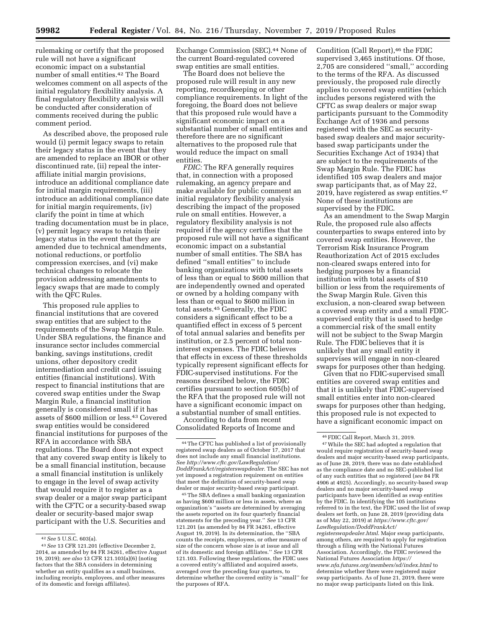rulemaking or certify that the proposed rule will not have a significant economic impact on a substantial number of small entities.42 The Board welcomes comment on all aspects of the initial regulatory flexibility analysis. A final regulatory flexibility analysis will be conducted after consideration of comments received during the public comment period.

As described above, the proposed rule would (i) permit legacy swaps to retain their legacy status in the event that they are amended to replace an IBOR or other discontinued rate, (ii) repeal the interaffiliate initial margin provisions, introduce an additional compliance date for initial margin requirements, (iii) introduce an additional compliance date for initial margin requirements, (iv) clarify the point in time at which trading documentation must be in place, (v) permit legacy swaps to retain their legacy status in the event that they are amended due to technical amendments, notional reductions, or portfolio compression exercises, and (vi) make technical changes to relocate the provision addressing amendments to legacy swaps that are made to comply with the QFC Rules.

This proposed rule applies to financial institutions that are covered swap entities that are subject to the requirements of the Swap Margin Rule. Under SBA regulations, the finance and insurance sector includes commercial banking, savings institutions, credit unions, other depository credit intermediation and credit card issuing entities (financial institutions). With respect to financial institutions that are covered swap entities under the Swap Margin Rule, a financial institution generally is considered small if it has assets of \$600 million or less.43 Covered swap entities would be considered financial institutions for purposes of the RFA in accordance with SBA regulations. The Board does not expect that any covered swap entity is likely to be a small financial institution, because a small financial institution is unlikely to engage in the level of swap activity that would require it to register as a swap dealer or a major swap participant with the CFTC or a security-based swap dealer or security-based major swap participant with the U.S. Securities and

Exchange Commission (SEC).44 None of the current Board-regulated covered swap entities are small entities.

The Board does not believe the proposed rule will result in any new reporting, recordkeeping or other compliance requirements. In light of the foregoing, the Board does not believe that this proposed rule would have a significant economic impact on a substantial number of small entities and therefore there are no significant alternatives to the proposed rule that would reduce the impact on small entities

*FDIC:* The RFA generally requires that, in connection with a proposed rulemaking, an agency prepare and make available for public comment an initial regulatory flexibility analysis describing the impact of the proposed rule on small entities. However, a regulatory flexibility analysis is not required if the agency certifies that the proposed rule will not have a significant economic impact on a substantial number of small entities. The SBA has defined ''small entities'' to include banking organizations with total assets of less than or equal to \$600 million that are independently owned and operated or owned by a holding company with less than or equal to \$600 million in total assets.45 Generally, the FDIC considers a significant effect to be a quantified effect in excess of 5 percent of total annual salaries and benefits per institution, or 2.5 percent of total noninterest expenses. The FDIC believes that effects in excess of these thresholds typically represent significant effects for FDIC-supervised institutions. For the reasons described below, the FDIC certifies pursuant to section 605(b) of the RFA that the proposed rule will not have a significant economic impact on a substantial number of small entities. According to data from recent

Consolidated Reports of Income and

45The SBA defines a small banking organization as having \$600 million or less in assets, where an organization's ''assets are determined by averaging the assets reported on its four quarterly financial statements for the preceding year.'' *See* 13 CFR 121.201 (as amended by 84 FR 34261, effective August 19, 2019). In its determination, the ''SBA counts the receipts, employees, or other measure of size of the concern whose size is at issue and all of its domestic and foreign affiliates.'' *See* 13 CFR 121.103. Following these regulations, the FDIC uses a covered entity's affiliated and acquired assets, averaged over the preceding four quarters, to determine whether the covered entity is ''small'' for the purposes of RFA.

Condition (Call Report),46 the FDIC supervised 3,465 institutions. Of those, 2,705 are considered ''small,'' according to the terms of the RFA. As discussed previously, the proposed rule directly applies to covered swap entities (which includes persons registered with the CFTC as swap dealers or major swap participants pursuant to the Commodity Exchange Act of 1936 and persons registered with the SEC as securitybased swap dealers and major securitybased swap participants under the Securities Exchange Act of 1934) that are subject to the requirements of the Swap Margin Rule. The FDIC has identified 105 swap dealers and major swap participants that, as of May 22, 2019, have registered as swap entities.47 None of these institutions are supervised by the FDIC.

As an amendment to the Swap Margin Rule, the proposed rule also affects counterparties to swaps entered into by covered swap entities. However, the Terrorism Risk Insurance Program Reauthorization Act of 2015 excludes non-cleared swaps entered into for hedging purposes by a financial institution with total assets of \$10 billion or less from the requirements of the Swap Margin Rule. Given this exclusion, a non-cleared swap between a covered swap entity and a small FDICsupervised entity that is used to hedge a commercial risk of the small entity will not be subject to the Swap Margin Rule. The FDIC believes that it is unlikely that any small entity it supervises will engage in non-cleared swaps for purposes other than hedging.

Given that no FDIC-supervised small entities are covered swap entities and that it is unlikely that FDIC-supervised small entities enter into non-cleared swaps for purposes other than hedging, this proposed rule is not expected to have a significant economic impact on

<sup>42</sup>*See* 5 U.S.C. 603(a).

<sup>43</sup>*See* 13 CFR 121.201 (effective December 2, 2014, as amended by 84 FR 34261, effective August 19, 2019); *see also* 13 CFR 121.103(a)(6) (noting factors that the SBA considers in determining whether an entity qualifies as a small business, including receipts, employees, and other measures of its domestic and foreign affiliates).

<sup>44</sup>The CFTC has published a list of provisionally registered swap dealers as of October 17, 2017 that does not include any small financial institutions. *See [http://www.cftc.gov/LawRegulation/](http://www.cftc.gov/LawRegulation/DoddFrankAct/registerswapdealer)  [DoddFrankAct/registerswapdealer](http://www.cftc.gov/LawRegulation/DoddFrankAct/registerswapdealer)*. The SEC has not yet imposed a registration requirement on entities that meet the definition of security-based swap dealer or major security-based swap participant.

<sup>46</sup>FDIC Call Report, March 31, 2019.

<sup>47</sup>While the SEC had adopted a regulation that would require registration of security-based swap dealers and major security-based swap participants, as of June 28, 2019, there was no date established as the compliance date and no SEC-published list of any such entities that so registered (*see* 84 FR 4906 at 4925). Accordingly, no security-based swap dealers and no major security-based swap participants have been identified as swap entities by the FDIC. In identifying the 105 institutions referred to in the text, the FDIC used the list of swap dealers set forth, on June 28, 2019 (providing data as of May 22, 2019) at *[https://www.cftc.gov/](https://www.cftc.gov/LawRegulation/DoddFrankAct/registerswapdealer.html)  [LawRegulation/DoddFrankAct/](https://www.cftc.gov/LawRegulation/DoddFrankAct/registerswapdealer.html)  [registerswapdealer.html](https://www.cftc.gov/LawRegulation/DoddFrankAct/registerswapdealer.html)*. Major swap participants, among others, are required to apply for registration through a filing with the National Futures Association. Accordingly, the FDIC reviewed the National Futures Association *[https://](https://www.nfa.futures.org/members/sd/index.html) [www.nfa.futures.org/members/sd/index.html](https://www.nfa.futures.org/members/sd/index.html)* to determine whether there were registered major swap participants. As of June 21, 2019, there were no major swap participants listed on this link.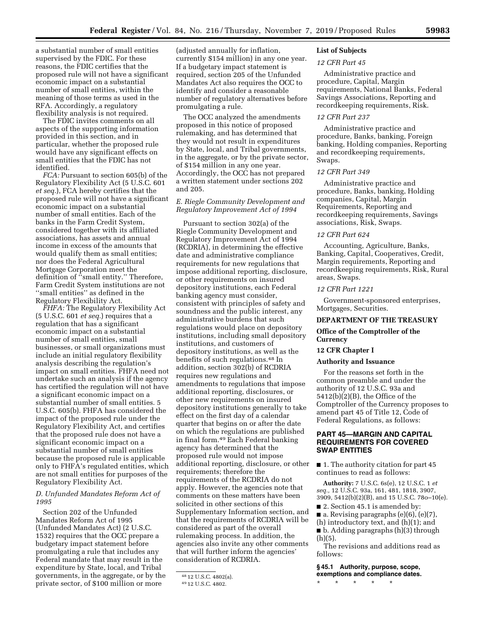a substantial number of small entities supervised by the FDIC. For these reasons, the FDIC certifies that the proposed rule will not have a significant economic impact on a substantial number of small entities, within the meaning of those terms as used in the RFA. Accordingly, a regulatory flexibility analysis is not required.

The FDIC invites comments on all aspects of the supporting information provided in this section, and in particular, whether the proposed rule would have any significant effects on small entities that the FDIC has not identified.

*FCA:* Pursuant to section 605(b) of the Regulatory Flexibility Act (5 U.S.C. 601 *et seq.*), FCA hereby certifies that the proposed rule will not have a significant economic impact on a substantial number of small entities. Each of the banks in the Farm Credit System, considered together with its affiliated associations, has assets and annual income in excess of the amounts that would qualify them as small entities; nor does the Federal Agricultural Mortgage Corporation meet the definition of ''small entity.'' Therefore, Farm Credit System institutions are not ''small entities'' as defined in the Regulatory Flexibility Act.

*FHFA:* The Regulatory Flexibility Act (5 U.S.C. 601 *et seq.*) requires that a regulation that has a significant economic impact on a substantial number of small entities, small businesses, or small organizations must include an initial regulatory flexibility analysis describing the regulation's impact on small entities. FHFA need not undertake such an analysis if the agency has certified the regulation will not have a significant economic impact on a substantial number of small entities. 5 U.S.C. 605(b). FHFA has considered the impact of the proposed rule under the Regulatory Flexibility Act, and certifies that the proposed rule does not have a significant economic impact on a substantial number of small entities because the proposed rule is applicable only to FHFA's regulated entities, which are not small entities for purposes of the Regulatory Flexibility Act.

*D. Unfunded Mandates Reform Act of 1995* 

Section 202 of the Unfunded Mandates Reform Act of 1995 (Unfunded Mandates Act) (2 U.S.C. 1532) requires that the OCC prepare a budgetary impact statement before promulgating a rule that includes any Federal mandate that may result in the expenditure by State, local, and Tribal governments, in the aggregate, or by the private sector, of \$100 million or more

(adjusted annually for inflation, currently \$154 million) in any one year. If a budgetary impact statement is required, section 205 of the Unfunded Mandates Act also requires the OCC to identify and consider a reasonable number of regulatory alternatives before promulgating a rule.

The OCC analyzed the amendments proposed in this notice of proposed rulemaking, and has determined that they would not result in expenditures by State, local, and Tribal governments, in the aggregate, or by the private sector, of \$154 million in any one year. Accordingly, the OCC has not prepared a written statement under sections 202 and 205.

# *E. Riegle Community Development and Regulatory Improvement Act of 1994*

Pursuant to section 302(a) of the Riegle Community Development and Regulatory Improvement Act of 1994 (RCDRIA), in determining the effective date and administrative compliance requirements for new regulations that impose additional reporting, disclosure, or other requirements on insured depository institutions, each Federal banking agency must consider, consistent with principles of safety and soundness and the public interest, any administrative burdens that such regulations would place on depository institutions, including small depository institutions, and customers of depository institutions, as well as the benefits of such regulations.48 In addition, section 302(b) of RCDRIA requires new regulations and amendments to regulations that impose additional reporting, disclosures, or other new requirements on insured depository institutions generally to take effect on the first day of a calendar quarter that begins on or after the date on which the regulations are published in final form.49 Each Federal banking agency has determined that the proposed rule would not impose additional reporting, disclosure, or other requirements; therefore the requirements of the RCDRIA do not apply. However, the agencies note that comments on these matters have been solicited in other sections of this Supplementary Information section, and that the requirements of RCDRIA will be considered as part of the overall rulemaking process. In addition, the agencies also invite any other comments that will further inform the agencies' consideration of RCDRIA.

# **List of Subjects**

#### *12 CFR Part 45*

Administrative practice and procedure, Capital, Margin requirements, National Banks, Federal Savings Associations, Reporting and recordkeeping requirements, Risk.

# *12 CFR Part 237*

Administrative practice and procedure, Banks, banking, Foreign banking, Holding companies, Reporting and recordkeeping requirements, Swaps.

#### *12 CFR Part 349*

Administrative practice and procedure, Banks, banking, Holding companies, Capital, Margin Requirements, Reporting and recordkeeping requirements, Savings associations, Risk, Swaps.

#### *12 CFR Part 624*

Accounting, Agriculture, Banks, Banking, Capital, Cooperatives, Credit, Margin requirements, Reporting and recordkeeping requirements, Risk, Rural areas, Swaps.

#### *12 CFR Part 1221*

Government-sponsored enterprises, Mortgages, Securities.

#### **DEPARTMENT OF THE TREASURY**

# **Office of the Comptroller of the Currency**

# **12 CFR Chapter I**

#### **Authority and Issuance**

For the reasons set forth in the common preamble and under the authority of 12 U.S.C. 93a and 5412(b)(2)(B), the Office of the Comptroller of the Currency proposes to amend part 45 of Title 12, Code of Federal Regulations, as follows:

#### **PART 45—MARGIN AND CAPITAL REQUIREMENTS FOR COVERED SWAP ENTITIES**

■ 1. The authority citation for part 45 continues to read as follows:

**Authority:** 7 U.S.C. 6s(e), 12 U.S.C. 1 *et seq.,* 12 U.S.C. 93a, 161, 481, 1818, 3907, 3909, 5412(b)(2)(B), and 15 U.S.C. 78o–10(e).

■ 2. Section 45.1 is amended by:

 $\blacksquare$  a. Revising paragraphs (e)(6), (e)(7),

(h) introductory text, and (h)(1); and ■ b. Adding paragraphs (h)(3) through (h)(5).

The revisions and additions read as follows:

**§ 45.1 Authority, purpose, scope, exemptions and compliance dates.** 

\* \* \* \* \*

<sup>48</sup> 12 U.S.C. 4802(a).

<sup>49</sup> 12 U.S.C. 4802.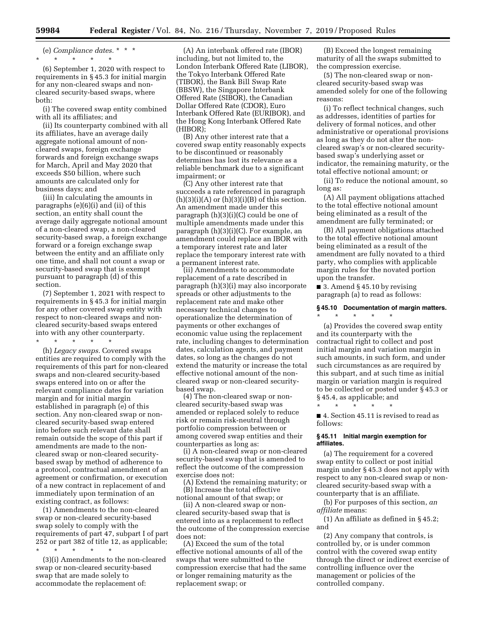(e) *Compliance dates.* \* \* \* \* \* \* \* \*

(6) September 1, 2020 with respect to requirements in § 45.3 for initial margin for any non-cleared swaps and noncleared security-based swaps, where both:

(i) The covered swap entity combined with all its affiliates; and

(ii) Its counterparty combined with all its affiliates, have an average daily aggregate notional amount of noncleared swaps, foreign exchange forwards and foreign exchange swaps for March, April and May 2020 that exceeds \$50 billion, where such amounts are calculated only for business days; and

(iii) In calculating the amounts in paragraphs (e)(6)(i) and (ii) of this section, an entity shall count the average daily aggregate notional amount of a non-cleared swap, a non-cleared security-based swap, a foreign exchange forward or a foreign exchange swap between the entity and an affiliate only one time, and shall not count a swap or security-based swap that is exempt pursuant to paragraph (d) of this section.

(7) September 1, 2021 with respect to requirements in § 45.3 for initial margin for any other covered swap entity with respect to non-cleared swaps and noncleared security-based swaps entered into with any other counterparty.

\* \* \* \* \*

(h) *Legacy swaps.* Covered swaps entities are required to comply with the requirements of this part for non-cleared swaps and non-cleared security-based swaps entered into on or after the relevant compliance dates for variation margin and for initial margin established in paragraph (e) of this section. Any non-cleared swap or noncleared security-based swap entered into before such relevant date shall remain outside the scope of this part if amendments are made to the noncleared swap or non-cleared securitybased swap by method of adherence to a protocol, contractual amendment of an agreement or confirmation, or execution of a new contract in replacement of and immediately upon termination of an existing contract, as follows:

(1) Amendments to the non-cleared swap or non-cleared security-based swap solely to comply with the requirements of part 47, subpart I of part 252 or part 382 of title 12, as applicable; \* \* \* \* \*

(3)(i) Amendments to the non-cleared swap or non-cleared security-based swap that are made solely to accommodate the replacement of:

(A) An interbank offered rate (IBOR) including, but not limited to, the London Interbank Offered Rate (LIBOR), the Tokyo Interbank Offered Rate (TIBOR), the Bank Bill Swap Rate (BBSW), the Singapore Interbank Offered Rate (SIBOR), the Canadian Dollar Offered Rate (CDOR), Euro Interbank Offered Rate (EURIBOR), and the Hong Kong Interbank Offered Rate (HIBOR);

(B) Any other interest rate that a covered swap entity reasonably expects to be discontinued or reasonably determines has lost its relevance as a reliable benchmark due to a significant impairment; or

(C) Any other interest rate that succeeds a rate referenced in paragraph  $(h)(3)(i)(A)$  or  $(h)(3)(i)(B)$  of this section. An amendment made under this paragraph (h)(3)(i)(C) could be one of multiple amendments made under this paragraph (h)(3)(i)(C). For example, an amendment could replace an IBOR with a temporary interest rate and later replace the temporary interest rate with a permanent interest rate.

(ii) Amendments to accommodate replacement of a rate described in paragraph (h)(3)(i) may also incorporate spreads or other adjustments to the replacement rate and make other necessary technical changes to operationalize the determination of payments or other exchanges of economic value using the replacement rate, including changes to determination dates, calculation agents, and payment dates, so long as the changes do not extend the maturity or increase the total effective notional amount of the noncleared swap or non-cleared securitybased swap.

(4) The non-cleared swap or noncleared security-based swap was amended or replaced solely to reduce risk or remain risk-neutral through portfolio compression between or among covered swap entities and their counterparties as long as:

(i) A non-cleared swap or non-cleared security-based swap that is amended to reflect the outcome of the compression exercise does not:

(A) Extend the remaining maturity; or (B) Increase the total effective notional amount of that swap; or

(ii) A non-cleared swap or noncleared security-based swap that is entered into as a replacement to reflect the outcome of the compression exercise does not:

(A) Exceed the sum of the total effective notional amounts of all of the swaps that were submitted to the compression exercise that had the same or longer remaining maturity as the replacement swap; or

(B) Exceed the longest remaining maturity of all the swaps submitted to the compression exercise.

(5) The non-cleared swap or noncleared security-based swap was amended solely for one of the following reasons:

(i) To reflect technical changes, such as addresses, identities of parties for delivery of formal notices, and other administrative or operational provisions as long as they do not alter the noncleared swap's or non-cleared securitybased swap's underlying asset or indicator, the remaining maturity, or the total effective notional amount; or

(ii) To reduce the notional amount, so long as:

(A) All payment obligations attached to the total effective notional amount being eliminated as a result of the amendment are fully terminated; or

(B) All payment obligations attached to the total effective notional amount being eliminated as a result of the amendment are fully novated to a third party, who complies with applicable margin rules for the novated portion upon the transfer.

 $\blacksquare$  3. Amend § 45.10 by revising paragraph (a) to read as follows:

#### **§ 45.10 Documentation of margin matters.**

\* \* \* \* \* (a) Provides the covered swap entity and its counterparty with the contractual right to collect and post initial margin and variation margin in such amounts, in such form, and under such circumstances as are required by this subpart, and at such time as initial margin or variation margin is required to be collected or posted under § 45.3 or § 45.4, as applicable; and \* \* \* \* \*

■ 4. Section 45.11 is revised to read as follows:

#### **§ 45.11 Initial margin exemption for affiliates.**

(a) The requirement for a covered swap entity to collect or post initial margin under § 45.3 does not apply with respect to any non-cleared swap or noncleared security-based swap with a counterparty that is an affiliate.

(b) For purposes of this section, *an affiliate* means:

(1) An affiliate as defined in § 45.2; and

(2) Any company that controls, is controlled by, or is under common control with the covered swap entity through the direct or indirect exercise of controlling influence over the management or policies of the controlled company.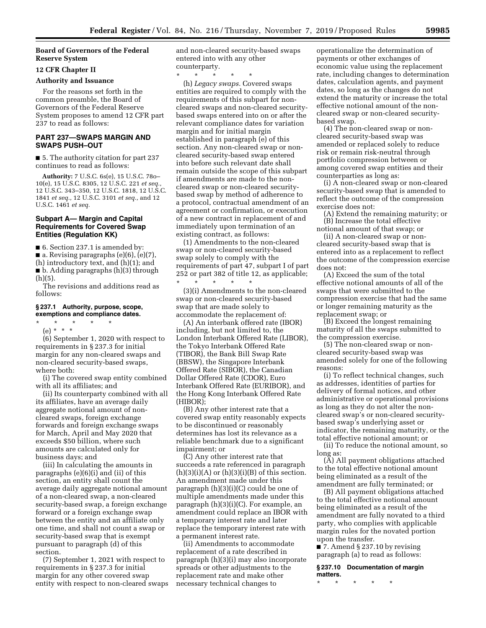# **Board of Governors of the Federal Reserve System**

# **12 CFR Chapter II**

#### **Authority and Issuance**

For the reasons set forth in the common preamble, the Board of Governors of the Federal Reserve System proposes to amend 12 CFR part 237 to read as follows:

# **PART 237—SWAPS MARGIN AND SWAPS PUSH–OUT**

■ 5. The authority citation for part 237 continues to read as follows:

**Authority:** 7 U.S.C. 6s(e), 15 U.S.C. 78o– 10(e), 15 U.S.C. 8305, 12 U.S.C. 221 *et seq.,*  12 U.S.C. 343–350, 12 U.S.C. 1818, 12 U.S.C. 1841 *et seq.,* 12 U.S.C. 3101 *et seq.,* and 12 U.S.C. 1461 *et seq.* 

#### **Subpart A— Margin and Capital Requirements for Covered Swap Entities (Regulation KK)**

■ 6. Section 237.1 is amended by:

■ a. Revising paragraphs (e)(6), (e)(7), (h) introductory text, and (h)(1); and ■ b. Adding paragraphs (h)(3) through

 $(h)(5)$ . The revisions and additions read as follows:

#### **§ 237.1 Authority, purpose, scope, exemptions and compliance dates.**

\* \* \* \* \* (e) \* \* \*

(6) September 1, 2020 with respect to requirements in § 237.3 for initial margin for any non-cleared swaps and non-cleared security-based swaps, where both:

(i) The covered swap entity combined with all its affiliates; and

(ii) Its counterparty combined with all its affiliates, have an average daily aggregate notional amount of noncleared swaps, foreign exchange forwards and foreign exchange swaps for March, April and May 2020 that exceeds \$50 billion, where such amounts are calculated only for business days; and

(iii) In calculating the amounts in paragraphs (e)(6)(i) and (ii) of this section, an entity shall count the average daily aggregate notional amount of a non-cleared swap, a non-cleared security-based swap, a foreign exchange forward or a foreign exchange swap between the entity and an affiliate only one time, and shall not count a swap or security-based swap that is exempt pursuant to paragraph (d) of this section.

(7) September 1, 2021 with respect to requirements in § 237.3 for initial margin for any other covered swap entity with respect to non-cleared swaps and non-cleared security-based swaps entered into with any other counterparty.

\* \* \* \* \*

(h) *Legacy swaps.* Covered swaps entities are required to comply with the requirements of this subpart for noncleared swaps and non-cleared securitybased swaps entered into on or after the relevant compliance dates for variation margin and for initial margin established in paragraph (e) of this section. Any non-cleared swap or noncleared security-based swap entered into before such relevant date shall remain outside the scope of this subpart if amendments are made to the noncleared swap or non-cleared securitybased swap by method of adherence to a protocol, contractual amendment of an agreement or confirmation, or execution of a new contract in replacement of and immediately upon termination of an existing contract, as follows:

(1) Amendments to the non-cleared swap or non-cleared security-based swap solely to comply with the requirements of part 47, subpart I of part 252 or part 382 of title 12, as applicable;

\* \* \* \* \* (3)(i) Amendments to the non-cleared swap or non-cleared security-based swap that are made solely to accommodate the replacement of:

(A) An interbank offered rate (IBOR) including, but not limited to, the London Interbank Offered Rate (LIBOR), the Tokyo Interbank Offered Rate (TIBOR), the Bank Bill Swap Rate (BBSW), the Singapore Interbank Offered Rate (SIBOR), the Canadian Dollar Offered Rate (CDOR), Euro Interbank Offered Rate (EURIBOR), and the Hong Kong Interbank Offered Rate (HIBOR);

(B) Any other interest rate that a covered swap entity reasonably expects to be discontinued or reasonably determines has lost its relevance as a reliable benchmark due to a significant impairment; or

(C) Any other interest rate that succeeds a rate referenced in paragraph  $(h)(3)(i)(A)$  or  $(h)(3)(i)(B)$  of this section. An amendment made under this paragraph (h)(3)(i)(C) could be one of multiple amendments made under this paragraph (h)(3)(i)(C). For example, an amendment could replace an IBOR with a temporary interest rate and later replace the temporary interest rate with a permanent interest rate.

(ii) Amendments to accommodate replacement of a rate described in paragraph (h)(3)(i) may also incorporate spreads or other adjustments to the replacement rate and make other necessary technical changes to

operationalize the determination of payments or other exchanges of economic value using the replacement rate, including changes to determination dates, calculation agents, and payment dates, so long as the changes do not extend the maturity or increase the total effective notional amount of the noncleared swap or non-cleared securitybased swap.

(4) The non-cleared swap or noncleared security-based swap was amended or replaced solely to reduce risk or remain risk-neutral through portfolio compression between or among covered swap entities and their counterparties as long as:

(i) A non-cleared swap or non-cleared security-based swap that is amended to reflect the outcome of the compression exercise does not:

(A) Extend the remaining maturity; or (B) Increase the total effective

notional amount of that swap; or (ii) A non-cleared swap or non-

cleared security-based swap that is entered into as a replacement to reflect the outcome of the compression exercise does not:

(A) Exceed the sum of the total effective notional amounts of all of the swaps that were submitted to the compression exercise that had the same or longer remaining maturity as the replacement swap; or

(B) Exceed the longest remaining maturity of all the swaps submitted to the compression exercise.

(5) The non-cleared swap or noncleared security-based swap was amended solely for one of the following reasons:

(i) To reflect technical changes, such as addresses, identities of parties for delivery of formal notices, and other administrative or operational provisions as long as they do not alter the noncleared swap's or non-cleared securitybased swap's underlying asset or indicator, the remaining maturity, or the total effective notional amount; or

(ii) To reduce the notional amount, so long as:

(A) All payment obligations attached to the total effective notional amount being eliminated as a result of the amendment are fully terminated; or

(B) All payment obligations attached to the total effective notional amount being eliminated as a result of the amendment are fully novated to a third party, who complies with applicable margin rules for the novated portion upon the transfer.

■ 7. Amend § 237.10 by revising paragraph (a) to read as follows:

**§ 237.10 Documentation of margin matters.** 

\* \* \* \* \*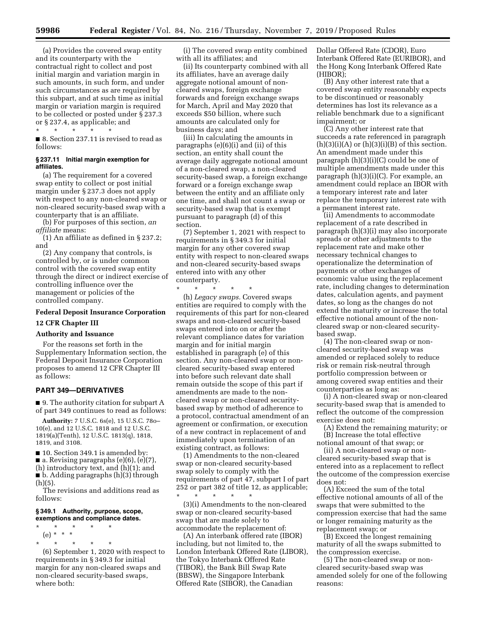(a) Provides the covered swap entity and its counterparty with the contractual right to collect and post initial margin and variation margin in such amounts, in such form, and under such circumstances as are required by this subpart, and at such time as initial margin or variation margin is required to be collected or posted under § 237.3 or § 237.4, as applicable; and  $*$ 

\* \* \* \* \* ■ 8. Section 237.11 is revised to read as follows:

#### **§ 237.11 Initial margin exemption for affiliates.**

(a) The requirement for a covered swap entity to collect or post initial margin under § 237.3 does not apply with respect to any non-cleared swap or non-cleared security-based swap with a counterparty that is an affiliate.

(b) For purposes of this section, *an affiliate* means:

(1) An affiliate as defined in § 237.2; and

(2) Any company that controls, is controlled by, or is under common control with the covered swap entity through the direct or indirect exercise of controlling influence over the management or policies of the controlled company.

# **Federal Deposit Insurance Corporation**

# **12 CFR Chapter III**

# **Authority and Issuance**

For the reasons set forth in the Supplementary Information section, the Federal Deposit Insurance Corporation proposes to amend 12 CFR Chapter III as follows:

#### **PART 349—DERIVATIVES**

■ 9. The authority citation for subpart A of part 349 continues to read as follows:

**Authority:** 7 U.S.C. 6s(e), 15 U.S.C. 78o– 10(e), and 12 U.S.C. 1818 and 12 U.S.C. 1819(a)(Tenth), 12 U.S.C. 1813(q), 1818, 1819, and 3108.

■ 10. Section 349.1 is amended by: ■ a. Revising paragraphs (e)(6), (e)(7), (h) introductory text, and (h)(1); and ■ b. Adding paragraphs (h)(3) through  $(h)(5)$ .

The revisions and additions read as follows:

#### **§ 349.1 Authority, purpose, scope, exemptions and compliance dates.**

\* \* \* \* \* (e) \* \* \*

\* \* \* \* \* (6) September 1, 2020 with respect to requirements in § 349.3 for initial margin for any non-cleared swaps and non-cleared security-based swaps, where both:

(i) The covered swap entity combined with all its affiliates; and

(ii) Its counterparty combined with all its affiliates, have an average daily aggregate notional amount of noncleared swaps, foreign exchange forwards and foreign exchange swaps for March, April and May 2020 that exceeds \$50 billion, where such amounts are calculated only for business days; and

(iii) In calculating the amounts in paragraphs (e)(6)(i) and (ii) of this section, an entity shall count the average daily aggregate notional amount of a non-cleared swap, a non-cleared security-based swap, a foreign exchange forward or a foreign exchange swap between the entity and an affiliate only one time, and shall not count a swap or security-based swap that is exempt pursuant to paragraph (d) of this section.

(7) September 1, 2021 with respect to requirements in § 349.3 for initial margin for any other covered swap entity with respect to non-cleared swaps and non-cleared security-based swaps entered into with any other counterparty.

\* \* \* \* \* (h) *Legacy swaps.* Covered swaps entities are required to comply with the requirements of this part for non-cleared swaps and non-cleared security-based swaps entered into on or after the relevant compliance dates for variation margin and for initial margin established in paragraph (e) of this section. Any non-cleared swap or noncleared security-based swap entered into before such relevant date shall remain outside the scope of this part if amendments are made to the noncleared swap or non-cleared securitybased swap by method of adherence to a protocol, contractual amendment of an agreement or confirmation, or execution of a new contract in replacement of and immediately upon termination of an existing contract, as follows:

(1) Amendments to the non-cleared swap or non-cleared security-based swap solely to comply with the requirements of part 47, subpart I of part 252 or part 382 of title 12, as applicable; \* \* \* \* \*

(3)(i) Amendments to the non-cleared swap or non-cleared security-based swap that are made solely to accommodate the replacement of:

(A) An interbank offered rate (IBOR) including, but not limited to, the London Interbank Offered Rate (LIBOR), the Tokyo Interbank Offered Rate (TIBOR), the Bank Bill Swap Rate (BBSW), the Singapore Interbank Offered Rate (SIBOR), the Canadian

Dollar Offered Rate (CDOR), Euro Interbank Offered Rate (EURIBOR), and the Hong Kong Interbank Offered Rate (HIBOR);

(B) Any other interest rate that a covered swap entity reasonably expects to be discontinued or reasonably determines has lost its relevance as a reliable benchmark due to a significant impairment; or

(C) Any other interest rate that succeeds a rate referenced in paragraph  $(h)(3)(i)(A)$  or  $(h)(3)(i)(B)$  of this section. An amendment made under this paragraph (h)(3)(i)(C) could be one of multiple amendments made under this paragraph (h)(3)(i)(C). For example, an amendment could replace an IBOR with a temporary interest rate and later replace the temporary interest rate with a permanent interest rate.

(ii) Amendments to accommodate replacement of a rate described in paragraph (h)(3)(i) may also incorporate spreads or other adjustments to the replacement rate and make other necessary technical changes to operationalize the determination of payments or other exchanges of economic value using the replacement rate, including changes to determination dates, calculation agents, and payment dates, so long as the changes do not extend the maturity or increase the total effective notional amount of the noncleared swap or non-cleared securitybased swap.

(4) The non-cleared swap or noncleared security-based swap was amended or replaced solely to reduce risk or remain risk-neutral through portfolio compression between or among covered swap entities and their counterparties as long as:

(i) A non-cleared swap or non-cleared security-based swap that is amended to reflect the outcome of the compression exercise does not:

(A) Extend the remaining maturity; or (B) Increase the total effective

notional amount of that swap; or (ii) A non-cleared swap or non-

cleared security-based swap that is entered into as a replacement to reflect the outcome of the compression exercise does not:

(A) Exceed the sum of the total effective notional amounts of all of the swaps that were submitted to the compression exercise that had the same or longer remaining maturity as the replacement swap; or

(B) Exceed the longest remaining maturity of all the swaps submitted to the compression exercise.

(5) The non-cleared swap or noncleared security-based swap was amended solely for one of the following reasons: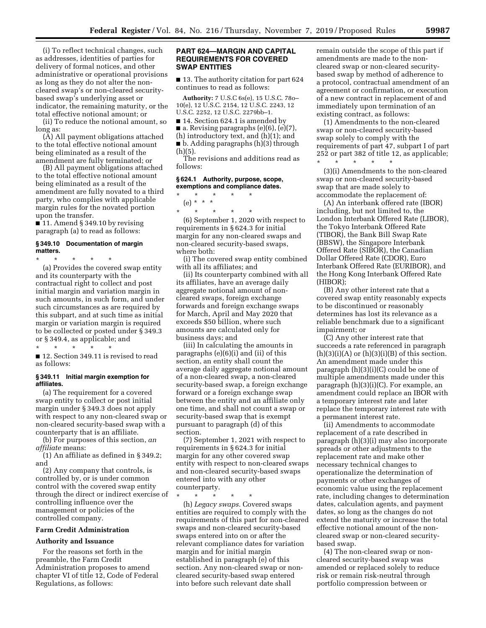(i) To reflect technical changes, such as addresses, identities of parties for delivery of formal notices, and other administrative or operational provisions as long as they do not alter the noncleared swap's or non-cleared securitybased swap's underlying asset or indicator, the remaining maturity, or the total effective notional amount; or

(ii) To reduce the notional amount, so long as:

(A) All payment obligations attached to the total effective notional amount being eliminated as a result of the amendment are fully terminated; or

(B) All payment obligations attached to the total effective notional amount being eliminated as a result of the amendment are fully novated to a third party, who complies with applicable margin rules for the novated portion upon the transfer.

■ 11. Amend § 349.10 by revising paragraph (a) to read as follows:

#### **§ 349.10 Documentation of margin matters.**

\* \* \* \* \* (a) Provides the covered swap entity and its counterparty with the contractual right to collect and post initial margin and variation margin in such amounts, in such form, and under such circumstances as are required by this subpart, and at such time as initial margin or variation margin is required to be collected or posted under § 349.3 or § 349.4, as applicable; and

\* \* \* \* \* ■ 12. Section 349.11 is revised to read as follows:

#### **§ 349.11 Initial margin exemption for affiliates.**

(a) The requirement for a covered swap entity to collect or post initial margin under § 349.3 does not apply with respect to any non-cleared swap or non-cleared security-based swap with a counterparty that is an affiliate.

(b) For purposes of this section, *an affiliate* means:

(1) An affiliate as defined in § 349.2; and

(2) Any company that controls, is controlled by, or is under common control with the covered swap entity through the direct or indirect exercise of controlling influence over the management or policies of the controlled company.

# **Farm Credit Administration**

#### **Authority and Issuance**

For the reasons set forth in the preamble, the Farm Credit Administration proposes to amend chapter VI of title 12, Code of Federal Regulations, as follows:

#### **PART 624—MARGIN AND CAPITAL REQUIREMENTS FOR COVERED SWAP ENTITIES**

■ 13. The authority citation for part 624 continues to read as follows:

**Authority:** 7 U.S.C 6s(e), 15 U.S.C. 78o– 10(e), 12 U.S.C. 2154, 12 U.S.C. 2243, 12 U.S.C. 2252, 12 U.S.C. 2279bb–1.

■ 14. Section 624.1 is amended by

■ a. Revising paragraphs (e)(6), (e)(7), (h) introductory text, and (h)(1); and

■ b. Adding paragraphs (h)(3) through (h)(5).

The revisions and additions read as follows:

#### **§ 624.1 Authority, purpose, scope, exemptions and compliance dates.**

\* \* \* \* \* (e) \* \* \*

\* \* \* \* \* (6) September 1, 2020 with respect to requirements in § 624.3 for initial margin for any non-cleared swaps and non-cleared security-based swaps, where both:

(i) The covered swap entity combined with all its affiliates; and

(ii) Its counterparty combined with all its affiliates, have an average daily aggregate notional amount of noncleared swaps, foreign exchange forwards and foreign exchange swaps for March, April and May 2020 that exceeds \$50 billion, where such amounts are calculated only for business days; and

(iii) In calculating the amounts in paragraphs (e)(6)(i) and (ii) of this section, an entity shall count the average daily aggregate notional amount of a non-cleared swap, a non-cleared security-based swap, a foreign exchange forward or a foreign exchange swap between the entity and an affiliate only one time, and shall not count a swap or security-based swap that is exempt pursuant to paragraph (d) of this section.

(7) September 1, 2021 with respect to requirements in § 624.3 for initial margin for any other covered swap entity with respect to non-cleared swaps and non-cleared security-based swaps entered into with any other counterparty.

\* \* \* \* \* (h) *Legacy swaps.* Covered swaps entities are required to comply with the requirements of this part for non-cleared swaps and non-cleared security-based swaps entered into on or after the relevant compliance dates for variation margin and for initial margin established in paragraph (e) of this section. Any non-cleared swap or noncleared security-based swap entered into before such relevant date shall

remain outside the scope of this part if amendments are made to the noncleared swap or non-cleared securitybased swap by method of adherence to a protocol, contractual amendment of an agreement or confirmation, or execution of a new contract in replacement of and immediately upon termination of an existing contract, as follows:

(1) Amendments to the non-cleared swap or non-cleared security-based swap solely to comply with the requirements of part 47, subpart I of part 252 or part 382 of title 12, as applicable; \* \* \* \* \*

(3)(i) Amendments to the non-cleared swap or non-cleared security-based swap that are made solely to accommodate the replacement of:

(A) An interbank offered rate (IBOR) including, but not limited to, the London Interbank Offered Rate (LIBOR), the Tokyo Interbank Offered Rate (TIBOR), the Bank Bill Swap Rate (BBSW), the Singapore Interbank Offered Rate (SIBOR), the Canadian Dollar Offered Rate (CDOR), Euro Interbank Offered Rate (EURIBOR), and the Hong Kong Interbank Offered Rate (HIBOR);

(B) Any other interest rate that a covered swap entity reasonably expects to be discontinued or reasonably determines has lost its relevance as a reliable benchmark due to a significant impairment; or

(C) Any other interest rate that succeeds a rate referenced in paragraph  $(h)(3)(i)(A)$  or  $(h)(3)(i)(B)$  of this section. An amendment made under this paragraph (h)(3)(i)(C) could be one of multiple amendments made under this paragraph (h)(3)(i)(C). For example, an amendment could replace an IBOR with a temporary interest rate and later replace the temporary interest rate with a permanent interest rate.

(ii) Amendments to accommodate replacement of a rate described in paragraph (h)(3)(i) may also incorporate spreads or other adjustments to the replacement rate and make other necessary technical changes to operationalize the determination of payments or other exchanges of economic value using the replacement rate, including changes to determination dates, calculation agents, and payment dates, so long as the changes do not extend the maturity or increase the total effective notional amount of the noncleared swap or non-cleared securitybased swap.

(4) The non-cleared swap or noncleared security-based swap was amended or replaced solely to reduce risk or remain risk-neutral through portfolio compression between or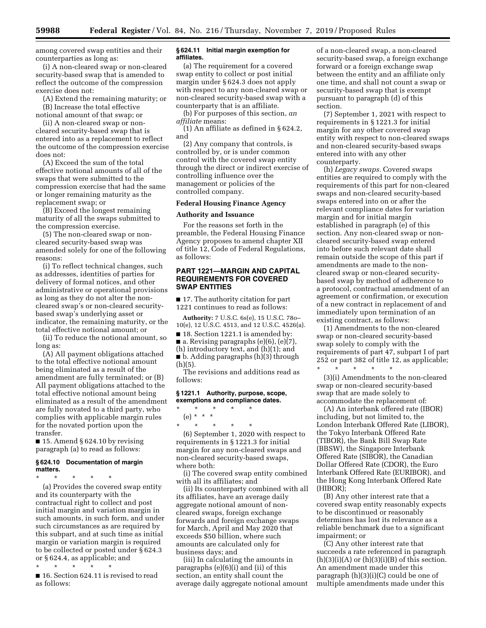among covered swap entities and their counterparties as long as:

(i) A non-cleared swap or non-cleared security-based swap that is amended to reflect the outcome of the compression exercise does not:

(A) Extend the remaining maturity; or (B) Increase the total effective notional amount of that swap; or

(ii) A non-cleared swap or noncleared security-based swap that is entered into as a replacement to reflect the outcome of the compression exercise does not:

(A) Exceed the sum of the total effective notional amounts of all of the swaps that were submitted to the compression exercise that had the same or longer remaining maturity as the replacement swap; or

(B) Exceed the longest remaining maturity of all the swaps submitted to the compression exercise.

(5) The non-cleared swap or noncleared security-based swap was amended solely for one of the following reasons:

(i) To reflect technical changes, such as addresses, identities of parties for delivery of formal notices, and other administrative or operational provisions as long as they do not alter the noncleared swap's or non-cleared securitybased swap's underlying asset or indicator, the remaining maturity, or the total effective notional amount; or

(ii) To reduce the notional amount, so long as:

(A) All payment obligations attached to the total effective notional amount being eliminated as a result of the amendment are fully terminated; or (B) All payment obligations attached to the total effective notional amount being eliminated as a result of the amendment are fully novated to a third party, who complies with applicable margin rules for the novated portion upon the transfer.

■ 15. Amend § 624.10 by revising paragraph (a) to read as follows:

#### **§ 624.10 Documentation of margin matters.**

\* \* \* \* \* (a) Provides the covered swap entity and its counterparty with the contractual right to collect and post initial margin and variation margin in such amounts, in such form, and under such circumstances as are required by this subpart, and at such time as initial margin or variation margin is required to be collected or posted under § 624.3 or § 624.4, as applicable; and

\* \* \* \* \* ■ 16. Section 624.11 is revised to read as follows:

#### **§ 624.11 Initial margin exemption for affiliates.**

(a) The requirement for a covered swap entity to collect or post initial margin under § 624.3 does not apply with respect to any non-cleared swap or non-cleared security-based swap with a counterparty that is an affiliate.

(b) For purposes of this section, *an affiliate* means:

(1) An affiliate as defined in § 624.2, and

(2) Any company that controls, is controlled by, or is under common control with the covered swap entity through the direct or indirect exercise of controlling influence over the management or policies of the controlled company.

#### **Federal Housing Finance Agency**

#### **Authority and Issuance**

For the reasons set forth in the preamble, the Federal Housing Finance Agency proposes to amend chapter XII of title 12, Code of Federal Regulations, as follows:

# **PART 1221—MARGIN AND CAPITAL REQUIREMENTS FOR COVERED SWAP ENTITIES**

■ 17. The authority citation for part 1221 continues to read as follows:

**Authority:** 7 U.S.C. 6s(e), 15 U.S.C. 78o– 10(e), 12 U.S.C. 4513, and 12 U.S.C. 4526(a).

■ 18. Section 1221.1 is amended by:

 $\blacksquare$  a. Revising paragraphs (e)(6), (e)(7),

(h) introductory text, and (h)(1); and ■ b. Adding paragraphs (h)(3) through

(h)(5). The revisions and additions read as

follows:

#### **§ 1221.1 Authority, purpose, scope, exemptions and compliance dates.**

\* \* \* \* \* (e) \* \* \*

\* \* \* \* \* (6) September 1, 2020 with respect to requirements in § 1221.3 for initial margin for any non-cleared swaps and non-cleared security-based swaps, where both:

(i) The covered swap entity combined with all its affiliates; and

(ii) Its counterparty combined with all its affiliates, have an average daily aggregate notional amount of noncleared swaps, foreign exchange forwards and foreign exchange swaps for March, April and May 2020 that exceeds \$50 billion, where such amounts are calculated only for business days; and

(iii) In calculating the amounts in paragraphs (e)(6)(i) and (ii) of this section, an entity shall count the average daily aggregate notional amount of a non-cleared swap, a non-cleared security-based swap, a foreign exchange forward or a foreign exchange swap between the entity and an affiliate only one time, and shall not count a swap or security-based swap that is exempt pursuant to paragraph (d) of this section.

(7) September 1, 2021 with respect to requirements in § 1221.3 for initial margin for any other covered swap entity with respect to non-cleared swaps and non-cleared security-based swaps entered into with any other counterparty.

(h) *Legacy swaps.* Covered swaps entities are required to comply with the requirements of this part for non-cleared swaps and non-cleared security-based swaps entered into on or after the relevant compliance dates for variation margin and for initial margin established in paragraph (e) of this section. Any non-cleared swap or noncleared security-based swap entered into before such relevant date shall remain outside the scope of this part if amendments are made to the noncleared swap or non-cleared securitybased swap by method of adherence to a protocol, contractual amendment of an agreement or confirmation, or execution of a new contract in replacement of and immediately upon termination of an existing contract, as follows:

(1) Amendments to the non-cleared swap or non-cleared security-based swap solely to comply with the requirements of part 47, subpart I of part 252 or part 382 of title 12, as applicable; \* \* \* \* \*

(3)(i) Amendments to the non-cleared swap or non-cleared security-based swap that are made solely to accommodate the replacement of:

(A) An interbank offered rate (IBOR) including, but not limited to, the London Interbank Offered Rate (LIBOR), the Tokyo Interbank Offered Rate (TIBOR), the Bank Bill Swap Rate (BBSW), the Singapore Interbank Offered Rate (SIBOR), the Canadian Dollar Offered Rate (CDOR), the Euro Interbank Offered Rate (EURIBOR), and the Hong Kong Interbank Offered Rate (HIBOR);

(B) Any other interest rate that a covered swap entity reasonably expects to be discontinued or reasonably determines has lost its relevance as a reliable benchmark due to a significant impairment; or

(C) Any other interest rate that succeeds a rate referenced in paragraph  $(h)(3)(i)(A)$  or  $(h)(3)(i)(B)$  of this section. An amendment made under this paragraph (h)(3)(i)(C) could be one of multiple amendments made under this